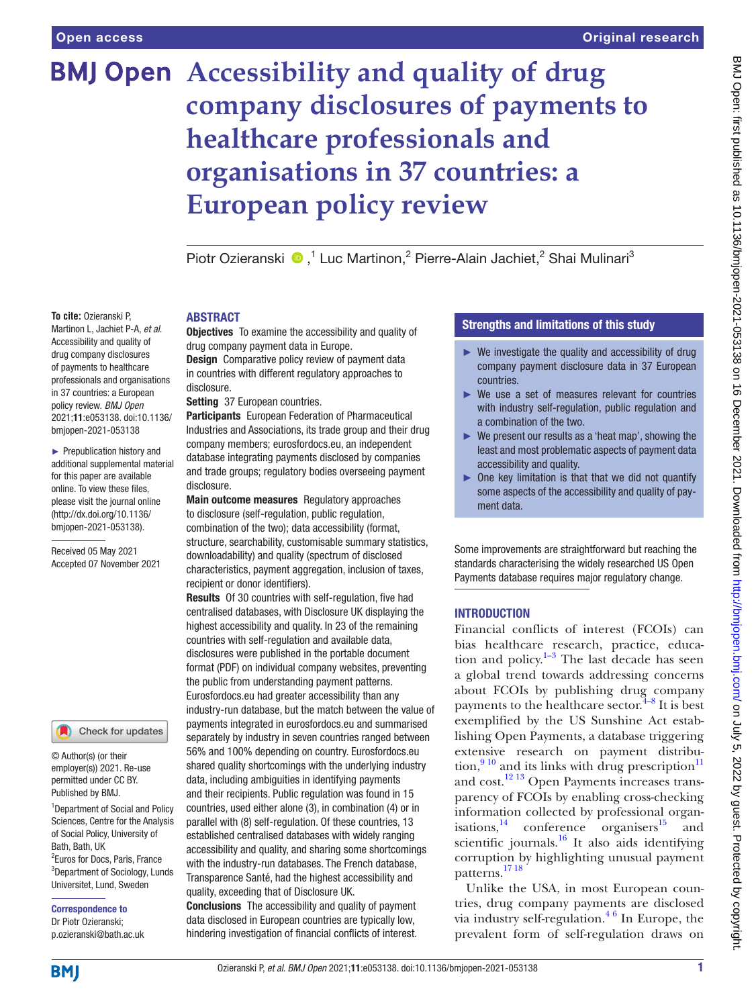**To cite:** Ozieranski P,

drug company disclosures of payments to healthcare professionals and organisations in 37 countries: a European policy review. *BMJ Open* 2021;11:e053138. doi:10.1136/ bmjopen-2021-053138 ► Prepublication history and additional supplemental material for this paper are available online. To view these files, please visit the journal online [\(http://dx.doi.org/10.1136/](http://dx.doi.org/10.1136/bmjopen-2021-053138) [bmjopen-2021-053138](http://dx.doi.org/10.1136/bmjopen-2021-053138)). Received 05 May 2021 Accepted 07 November 2021

# **BMJ Open** Accessibility and quality of drug **company disclosures of payments to healthcare professionals and organisations in 37 countries: a European policy review**

PiotrOzieranski (D,<sup>1</sup> Luc Martinon,<sup>2</sup> Pierre-Alain Jachiet,<sup>2</sup> Shai Mulinari<sup>3</sup>

#### Martinon L, Jachiet P-A, *et al*. Accessibility and quality of **ARSTRACT**

**Objectives** To examine the accessibility and quality of drug company payment data in Europe.

**Design** Comparative policy review of payment data in countries with different regulatory approaches to disclosure.

Setting 37 European countries.

Participants European Federation of Pharmaceutical Industries and Associations, its trade group and their drug company members; eurosfordocs.eu, an independent database integrating payments disclosed by companies and trade groups; regulatory bodies overseeing payment disclosure.

Main outcome measures Regulatory approaches to disclosure (self-regulation, public regulation, combination of the two); data accessibility (format, structure, searchability, customisable summary statistics, downloadability) and quality (spectrum of disclosed characteristics, payment aggregation, inclusion of taxes, recipient or donor identifiers).

Results Of 30 countries with self-regulation, five had centralised databases, with Disclosure UK displaying the highest accessibility and quality. In 23 of the remaining countries with self-regulation and available data, disclosures were published in the portable document format (PDF) on individual company websites, preventing the public from understanding payment patterns. Eurosfordocs.eu had greater accessibility than any industry-run database, but the match between the value of payments integrated in eurosfordocs.eu and summarised separately by industry in seven countries ranged between 56% and 100% depending on country. Eurosfordocs.eu shared quality shortcomings with the underlying industry data, including ambiguities in identifying payments and their recipients. Public regulation was found in 15 countries, used either alone (3), in combination (4) or in parallel with (8) self-regulation. Of these countries, 13 established centralised databases with widely ranging accessibility and quality, and sharing some shortcomings with the industry-run databases. The French database, Transparence Santé, had the highest accessibility and quality, exceeding that of Disclosure UK.

Conclusions The accessibility and quality of payment data disclosed in European countries are typically low, hindering investigation of financial conflicts of interest.

# Strengths and limitations of this study

- $\blacktriangleright$  We investigate the quality and accessibility of drug company payment disclosure data in 37 European countries.
- ► We use a set of measures relevant for countries with industry self-regulation, public regulation and a combination of the two.
- ► We present our results as a 'heat map', showing the least and most problematic aspects of payment data accessibility and quality.
- ► One key limitation is that that we did not quantify some aspects of the accessibility and quality of payment data.

Some improvements are straightforward but reaching the standards characterising the widely researched US Open Payments database requires major regulatory change.

# **INTRODUCTION**

Financial conflicts of interest (FCOIs) can bias healthcare research, practice, education and policy. $1-3$  The last decade has seen a global trend towards addressing concerns about FCOIs by publishing drug company payments to the healthcare sector. $4-8$  It is best exemplified by the US Sunshine Act establishing Open Payments, a database triggering extensive research on payment distribution,  $9^{10}$  and its links with drug prescription<sup>[11](#page-14-3)</sup> and  $\cot$ <sup>[12 13](#page-14-4)</sup> Open Payments increases transparency of FCOIs by enabling cross-checking information collected by professional organisations, $14$  conference organisers $15$  and scientific journals.<sup>16</sup> It also aids identifying corruption by highlighting unusual payment patterns.[17 18](#page-14-8)

Unlike the USA, in most European countries, drug company payments are disclosed via industry self-regulation. $46$  In Europe, the prevalent form of self-regulation draws on

<sup>1</sup>Department of Social and Policy Sciences, Centre for the Analysis

© Author(s) (or their employer(s)) 2021. Re-use permitted under CC BY. Published by BMJ.

of Social Policy, University of Bath, Bath, UK 2 Euros for Docs, Paris, France 3 Department of Sociology, Lunds Universitet, Lund, Sweden

Check for updates

Correspondence to Dr Piotr Ozieranski; p.ozieranski@bath.ac.uk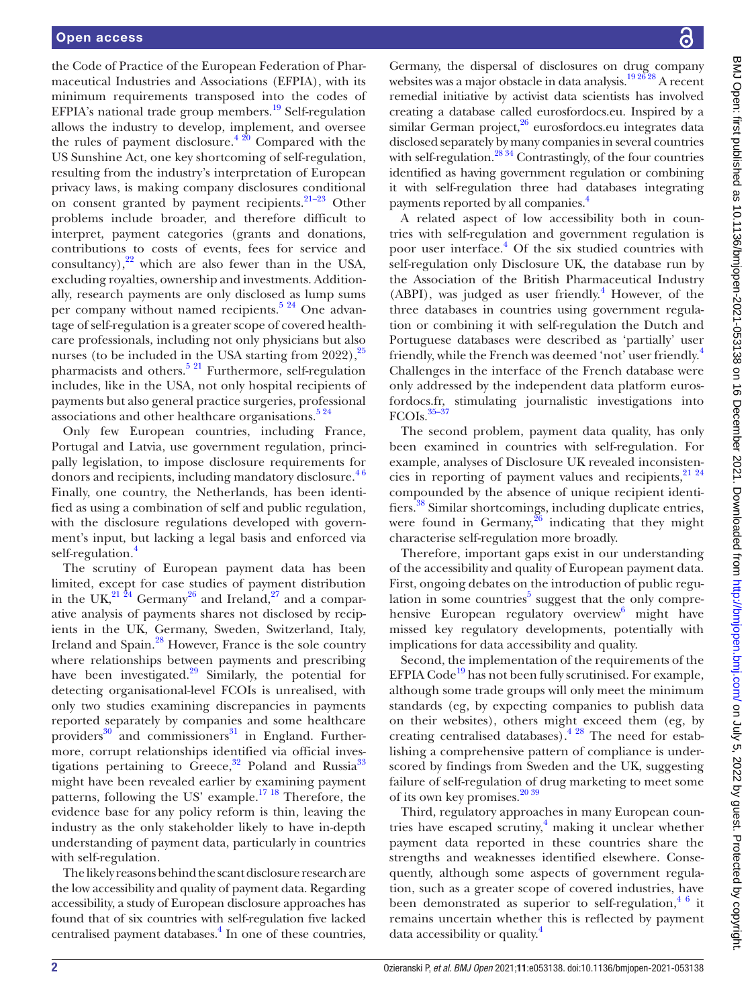the Code of Practice of the European Federation of Pharmaceutical Industries and Associations (EFPIA), with its minimum requirements transposed into the codes of EFPIA's national trade group members.<sup>[19](#page-14-9)</sup> Self-regulation allows the industry to develop, implement, and oversee the rules of payment disclosure. $4^{20}$  Compared with the US Sunshine Act, one key shortcoming of self-regulation, resulting from the industry's interpretation of European privacy laws, is making company disclosures conditional on consent granted by payment recipients.[21–23](#page-14-10) Other problems include broader, and therefore difficult to interpret, payment categories (grants and donations, contributions to costs of events, fees for service and consultancy), $^{22}$  which are also fewer than in the USA, excluding royalties, ownership and investments. Additionally, research payments are only disclosed as lump sums per company without named recipients.<sup>5 24</sup> One advantage of self-regulation is a greater scope of covered healthcare professionals, including not only physicians but also nurses (to be included in the USA starting from  $2022$ ),  $25$ pharmacists and others.<sup>[5 21](#page-14-12)</sup> Furthermore, self-regulation includes, like in the USA, not only hospital recipients of payments but also general practice surgeries, professional associations and other healthcare organisations. $5\frac{24}{1}$ 

Only few European countries, including France, Portugal and Latvia, use government regulation, principally legislation, to impose disclosure requirements for donors and recipients, including mandatory disclosure.<sup>46</sup> Finally, one country, the Netherlands, has been identified as using a combination of self and public regulation, with the disclosure regulations developed with government's input, but lacking a legal basis and enforced via self-regulation.<sup>[4](#page-14-1)</sup>

The scrutiny of European payment data has been limited, except for case studies of payment distribution in the UK, $^{21\,24}$  Germany $^{26}$  and Ireland, $^{27}$  and a comparative analysis of payments shares not disclosed by recipients in the UK, Germany, Sweden, Switzerland, Italy, Ireland and Spain.<sup>[28](#page-14-16)</sup> However, France is the sole country where relationships between payments and prescribing have been investigated. $29$  Similarly, the potential for detecting organisational-level FCOIs is unrealised, with only two studies examining discrepancies in payments reported separately by companies and some healthcare providers $30$  and commissioners $31$  in England. Furthermore, corrupt relationships identified via official investigations pertaining to Greece,  $32$  Poland and Russia<sup>33</sup> might have been revealed earlier by examining payment patterns, following the US' example.<sup>17 18</sup> Therefore, the evidence base for any policy reform is thin, leaving the industry as the only stakeholder likely to have in-depth understanding of payment data, particularly in countries with self-regulation.

The likely reasons behind the scant disclosure research are the low accessibility and quality of payment data. Regarding accessibility, a study of European disclosure approaches has found that of six countries with self-regulation five lacked centralised payment databases.<sup>[4](#page-14-1)</sup> In one of these countries,

Germany, the dispersal of disclosures on drug company websites was a major obstacle in data analysis. $19\frac{2628}{8}$  A recent remedial initiative by activist data scientists has involved creating a database called eurosfordocs.eu. Inspired by a similar German project,<sup>[26](#page-14-14)</sup> eurosfordocs.eu integrates data disclosed separately by many companies in several countries with self-regulation.<sup>28'34</sup> Contrastingly, of the four countries identified as having government regulation or combining it with self-regulation three had databases integrating payments reported by all companies.<sup>4</sup>

A related aspect of low accessibility both in countries with self-regulation and government regulation is poor user interface.<sup>[4](#page-14-1)</sup> Of the six studied countries with self-regulation only Disclosure UK, the database run by the Association of the British Pharmaceutical Industry (ABPI), was judged as user friendly.<sup>4</sup> However, of the three databases in countries using government regulation or combining it with self-regulation the Dutch and Portuguese databases were described as 'partially' user friendly, while the French was deemed 'not' user friendly.<sup>4</sup> Challenges in the interface of the French database were only addressed by the independent data platform eurosfordocs.fr, stimulating journalistic investigations into  $FCOIs.<sup>35-37</sup>$ 

The second problem, payment data quality, has only been examined in countries with self-regulation. For example, analyses of Disclosure UK revealed inconsistencies in reporting of payment values and recipients, <sup>21</sup> <sup>24</sup> compounded by the absence of unique recipient identifiers.[38](#page-14-23) Similar shortcomings, including duplicate entries, were found in Germany, $26$  indicating that they might characterise self-regulation more broadly.

Therefore, important gaps exist in our understanding of the accessibility and quality of European payment data. First, ongoing debates on the introduction of public regu-lation in some countries<sup>[5](#page-14-12)</sup> suggest that the only comprehensive European regulatory overview<sup>6</sup> might have missed key regulatory developments, potentially with implications for data accessibility and quality.

Second, the implementation of the requirements of the EFPIA Code<sup>19</sup> has not been fully scrutinised. For example, although some trade groups will only meet the minimum standards (eg, by expecting companies to publish data on their websites), others might exceed them (eg, by creating centralised databases)[.4 28](#page-14-1) The need for establishing a comprehensive pattern of compliance is underscored by findings from Sweden and the UK, suggesting failure of self-regulation of drug marketing to meet some of its own key promises.<sup>[20 39](#page-14-25)</sup>

Third, regulatory approaches in many European countries have escaped scrutiny,<sup>4</sup> making it unclear whether payment data reported in these countries share the strengths and weaknesses identified elsewhere. Consequently, although some aspects of government regulation, such as a greater scope of covered industries, have been demonstrated as superior to self-regulation,  $4/6$  it remains uncertain whether this is reflected by payment data accessibility or quality.[4](#page-14-1)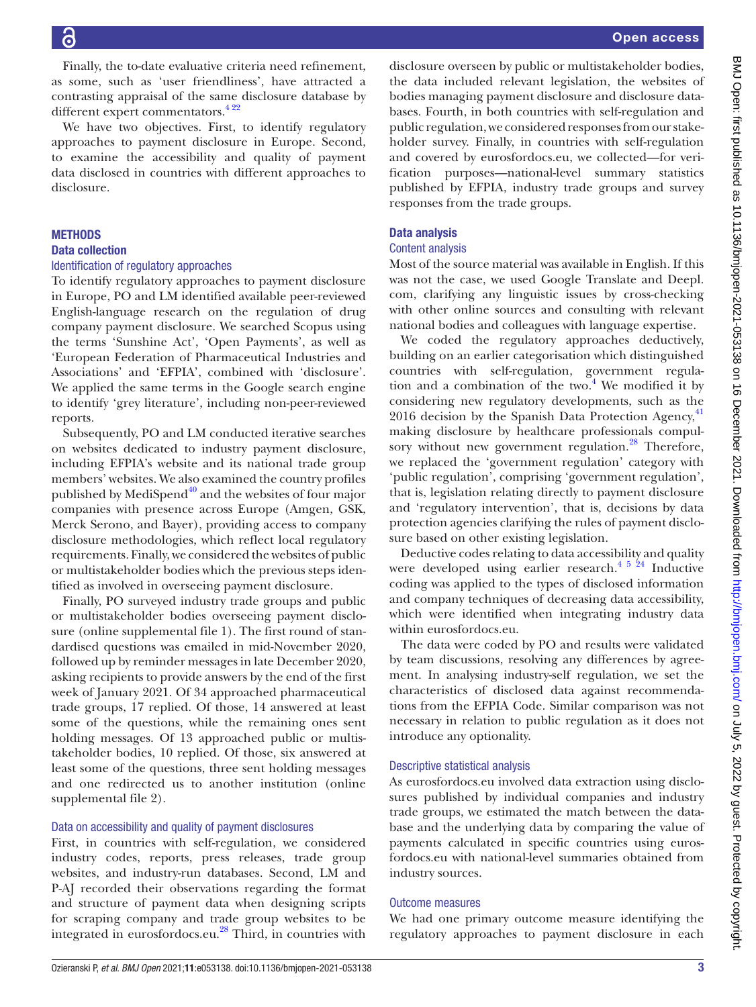disclosure.

**METHODS** Data collection

reports.

as some, such as 'user friendliness', have attracted a contrasting appraisal of the same disclosure database by different expert commentators.<sup>422</sup> We have two objectives. First, to identify regulatory approaches to payment disclosure in Europe. Second, to examine the accessibility and quality of payment data disclosed in countries with different approaches to Identification of regulatory approaches To identify regulatory approaches to payment disclosure in Europe, PO and LM identified available peer-reviewed English-language research on the regulation of drug company payment disclosure. We searched Scopus using the terms 'Sunshine Act', 'Open Payments', as well as 'European Federation of Pharmaceutical Industries and Associations' and 'EFPIA', combined with 'disclosure'. We applied the same terms in the Google search engine to identify 'grey literature', including non-peer-reviewed Data analysis Content analysis

Subsequently, PO and LM conducted iterative searches on websites dedicated to industry payment disclosure, including EFPIA's website and its national trade group members' websites. We also examined the country profiles published by MediSpend $40$  and the websites of four major companies with presence across Europe (Amgen, GSK, Merck Serono, and Bayer), providing access to company disclosure methodologies, which reflect local regulatory requirements. Finally, we considered the websites of public or multistakeholder bodies which the previous steps identified as involved in overseeing payment disclosure.

Finally, the to-date evaluative criteria need refinement,

Finally, PO surveyed industry trade groups and public or multistakeholder bodies overseeing payment disclosure ([online supplemental file 1](https://dx.doi.org/10.1136/bmjopen-2021-053138)). The first round of standardised questions was emailed in mid-November 2020, followed up by reminder messages in late December 2020, asking recipients to provide answers by the end of the first week of January 2021. Of 34 approached pharmaceutical trade groups, 17 replied. Of those, 14 answered at least some of the questions, while the remaining ones sent holding messages. Of 13 approached public or multistakeholder bodies, 10 replied. Of those, six answered at least some of the questions, three sent holding messages and one redirected us to another institution [\(online](https://dx.doi.org/10.1136/bmjopen-2021-053138) [supplemental file 2\)](https://dx.doi.org/10.1136/bmjopen-2021-053138).

#### Data on accessibility and quality of payment disclosures

First, in countries with self-regulation, we considered industry codes, reports, press releases, trade group websites, and industry-run databases. Second, LM and P-AJ recorded their observations regarding the format and structure of payment data when designing scripts for scraping company and trade group websites to be integrated in eurosfordocs.eu.<sup>28</sup> Third, in countries with

disclosure overseen by public or multistakeholder bodies, the data included relevant legislation, the websites of bodies managing payment disclosure and disclosure databases. Fourth, in both countries with self-regulation and public regulation, we considered responses from our stakeholder survey. Finally, in countries with self-regulation and covered by eurosfordocs.eu, we collected—for verification purposes—national-level summary statistics published by EFPIA, industry trade groups and survey responses from the trade groups.

Most of the source material was available in English. If this was not the case, we used Google Translate and Deepl. com, clarifying any linguistic issues by cross-checking with other online sources and consulting with relevant national bodies and colleagues with language expertise.

We coded the regulatory approaches deductively, building on an earlier categorisation which distinguished countries with self-regulation, government regulation and a combination of the two. $4$  We modified it by considering new regulatory developments, such as the 2016 decision by the Spanish Data Protection Agency, $41$ making disclosure by healthcare professionals compulsory without new government regulation.<sup>28</sup> Therefore, we replaced the 'government regulation' category with 'public regulation', comprising 'government regulation', that is, legislation relating directly to payment disclosure and 'regulatory intervention', that is, decisions by data protection agencies clarifying the rules of payment disclosure based on other existing legislation.

Deductive codes relating to data accessibility and quality were developed using earlier research.<sup>[4 5 24](#page-14-1)</sup> Inductive coding was applied to the types of disclosed information and company techniques of decreasing data accessibility, which were identified when integrating industry data within eurosfordocs.eu.

The data were coded by PO and results were validated by team discussions, resolving any differences by agreement. In analysing industry-self regulation, we set the characteristics of disclosed data against recommendations from the EFPIA Code. Similar comparison was not necessary in relation to public regulation as it does not introduce any optionality.

#### Descriptive statistical analysis

As eurosfordocs.eu involved data extraction using disclosures published by individual companies and industry trade groups, we estimated the match between the database and the underlying data by comparing the value of payments calculated in specific countries using eurosfordocs.eu with national-level summaries obtained from industry sources.

#### Outcome measures

We had one primary outcome measure identifying the regulatory approaches to payment disclosure in each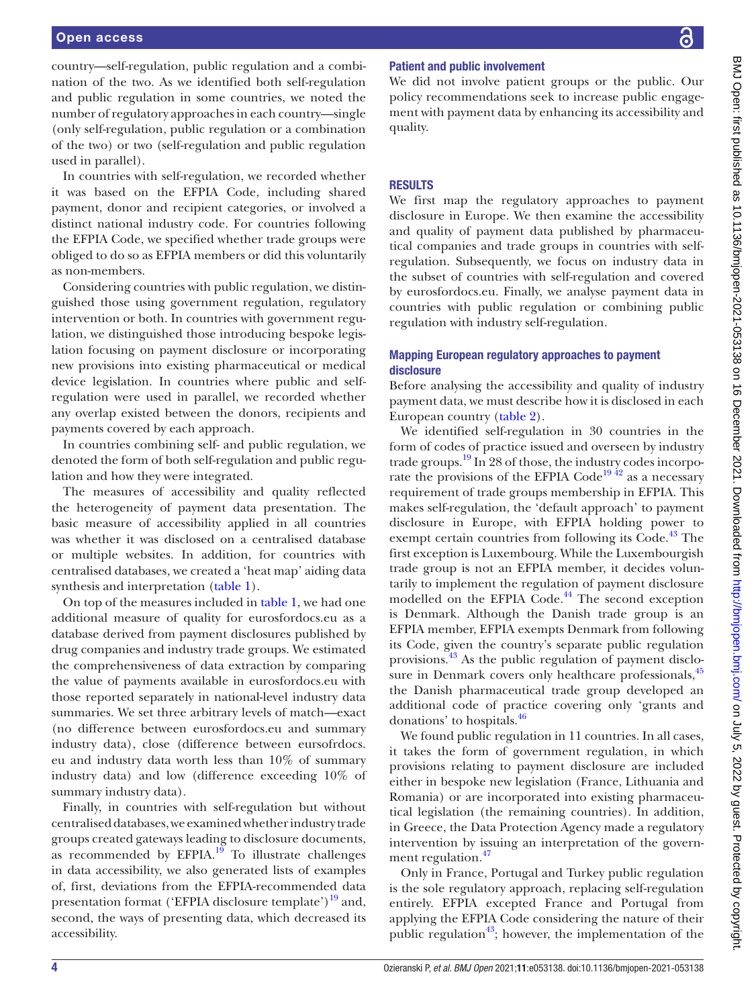country—self-regulation, public regulation and a combination of the two. As we identified both self-regulation and public regulation in some countries, we noted the number of regulatory approaches in each country—single (only self-regulation, public regulation or a combination of the two) or two (self-regulation and public regulation used in parallel).

In countries with self-regulation, we recorded whether it was based on the EFPIA Code, including shared payment, donor and recipient categories, or involved a distinct national industry code. For countries following the EFPIA Code, we specified whether trade groups were obliged to do so as EFPIA members or did this voluntarily as non-members.

Considering countries with public regulation, we distinguished those using government regulation, regulatory intervention or both. In countries with government regulation, we distinguished those introducing bespoke legislation focusing on payment disclosure or incorporating new provisions into existing pharmaceutical or medical device legislation. In countries where public and selfregulation were used in parallel, we recorded whether any overlap existed between the donors, recipients and payments covered by each approach.

In countries combining self- and public regulation, we denoted the form of both self-regulation and public regulation and how they were integrated.

The measures of accessibility and quality reflected the heterogeneity of payment data presentation. The basic measure of accessibility applied in all countries was whether it was disclosed on a centralised database or multiple websites. In addition, for countries with centralised databases*,* we created a 'heat map' aiding data synthesis and interpretation ([table](#page-4-0) 1).

On top of the measures included in [table](#page-4-0) 1, we had one additional measure of quality for eurosfordocs.eu as a database derived from payment disclosures published by drug companies and industry trade groups. We estimated the comprehensiveness of data extraction by comparing the value of payments available in eurosfordocs.eu with those reported separately in national-level industry data summaries. We set three arbitrary levels of match—exact (no difference between eurosfordocs.eu and summary industry data), close (difference between eursofrdocs. eu and industry data worth less than 10% of summary industry data) and low (difference exceeding 10% of summary industry data).

Finally, in countries with self-regulation but without centralised databases, we examined whether industry trade groups created gateways leading to disclosure documents, as recommended by  $EFPIA.<sup>19</sup>$  To illustrate challenges in data accessibility, we also generated lists of examples of, first, deviations from the EFPIA-recommended data presentation format ('EFPIA disclosure template')<sup>19</sup> and, second, the ways of presenting data, which decreased its accessibility.

# Patient and public involvement

We did not involve patient groups or the public. Our policy recommendations seek to increase public engagement with payment data by enhancing its accessibility and quality.

# **RESULTS**

We first map the regulatory approaches to payment disclosure in Europe. We then examine the accessibility and quality of payment data published by pharmaceutical companies and trade groups in countries with selfregulation. Subsequently, we focus on industry data in the subset of countries with self-regulation and covered by eurosfordocs.eu. Finally, we analyse payment data in countries with public regulation or combining public regulation with industry self-regulation.

#### Mapping European regulatory approaches to payment disclosure

Before analysing the accessibility and quality of industry payment data, we must describe how it is disclosed in each European country [\(table](#page-5-0) 2).

We identified self-regulation in 30 countries in the form of codes of practice issued and overseen by industry trade groups.<sup>19</sup> In 28 of those, the industry codes incorporate the provisions of the EFPIA  $\text{Code}^{19\,42}$  as a necessary requirement of trade groups membership in EFPIA. This makes self-regulation, the 'default approach' to payment disclosure in Europe, with EFPIA holding power to exempt certain countries from following its Code.<sup>43</sup> The first exception is Luxembourg. While the Luxembourgish trade group is not an EFPIA member, it decides voluntarily to implement the regulation of payment disclosure modelled on the EFPIA Code.<sup>44</sup> The second exception is Denmark. Although the Danish trade group is an EFPIA member, EFPIA exempts Denmark from following its Code, given the country's separate public regulation provisions[.43](#page-14-28) As the public regulation of payment disclo-sure in Denmark covers only healthcare professionals,<sup>[45](#page-14-30)</sup> the Danish pharmaceutical trade group developed an additional code of practice covering only 'grants and donations' to hospitals.[46](#page-14-31)

We found public regulation in 11 countries. In all cases, it takes the form of government regulation, in which provisions relating to payment disclosure are included either in bespoke new legislation (France, Lithuania and Romania) or are incorporated into existing pharmaceutical legislation (the remaining countries). In addition, in Greece, the Data Protection Agency made a regulatory intervention by issuing an interpretation of the government regulation.<sup>47</sup>

Only in France, Portugal and Turkey public regulation is the sole regulatory approach, replacing self-regulation entirely. EFPIA excepted France and Portugal from applying the EFPIA Code considering the nature of their public regulation<sup>43</sup>; however, the implementation of the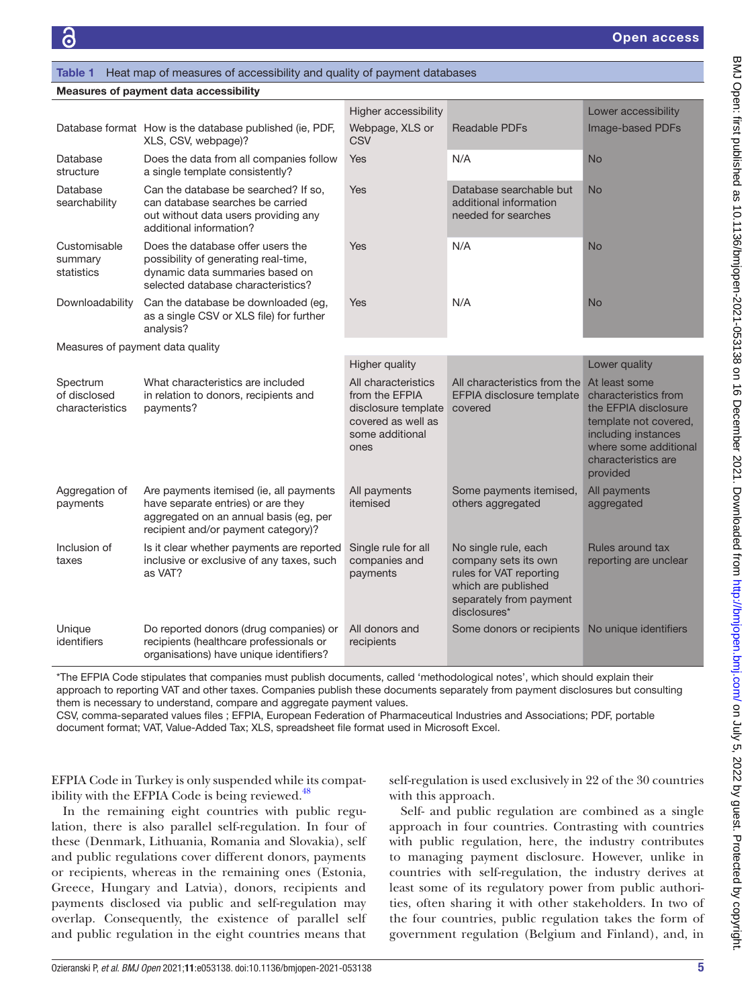#### <span id="page-4-0"></span>Table 1 Heat map of measures of accessibility and quality of payment databases

| <b>Measures of payment data accessibility</b> |  |
|-----------------------------------------------|--|
|-----------------------------------------------|--|

|                                             |                                                                                                                                                                | Higher accessibility                                                                                          |                                                                                                                                           | Lower accessibility                                                                                                                                                       |
|---------------------------------------------|----------------------------------------------------------------------------------------------------------------------------------------------------------------|---------------------------------------------------------------------------------------------------------------|-------------------------------------------------------------------------------------------------------------------------------------------|---------------------------------------------------------------------------------------------------------------------------------------------------------------------------|
|                                             | Database format How is the database published (ie, PDF,<br>XLS, CSV, webpage)?                                                                                 | Webpage, XLS or<br><b>CSV</b>                                                                                 | Readable PDFs                                                                                                                             | Image-based PDFs                                                                                                                                                          |
| Database<br>structure                       | Does the data from all companies follow<br>a single template consistently?                                                                                     | Yes                                                                                                           | N/A                                                                                                                                       | <b>No</b>                                                                                                                                                                 |
| Database<br>searchability                   | Can the database be searched? If so,<br>can database searches be carried<br>out without data users providing any<br>additional information?                    | Yes                                                                                                           | Database searchable but<br>additional information<br>needed for searches                                                                  | <b>No</b>                                                                                                                                                                 |
| Customisable<br>summary<br>statistics       | Does the database offer users the<br>possibility of generating real-time,<br>dynamic data summaries based on<br>selected database characteristics?             | Yes                                                                                                           | N/A                                                                                                                                       | <b>No</b>                                                                                                                                                                 |
| Downloadability                             | Can the database be downloaded (eg,<br>as a single CSV or XLS file) for further<br>analysis?                                                                   | <b>Yes</b>                                                                                                    | N/A                                                                                                                                       | <b>No</b>                                                                                                                                                                 |
| Measures of payment data quality            |                                                                                                                                                                |                                                                                                               |                                                                                                                                           |                                                                                                                                                                           |
|                                             |                                                                                                                                                                | Higher quality                                                                                                |                                                                                                                                           | Lower quality                                                                                                                                                             |
| Spectrum<br>of disclosed<br>characteristics | What characteristics are included<br>in relation to donors, recipients and<br>payments?                                                                        | All characteristics<br>from the EFPIA<br>disclosure template<br>covered as well as<br>some additional<br>ones | All characteristics from the<br>EFPIA disclosure template<br>covered                                                                      | At least some<br>characteristics from<br>the EFPIA disclosure<br>template not covered,<br>including instances<br>where some additional<br>characteristics are<br>provided |
| Aggregation of<br>payments                  | Are payments itemised (ie, all payments<br>have separate entries) or are they<br>aggregated on an annual basis (eg, per<br>recipient and/or payment category)? | All payments<br>itemised                                                                                      | Some payments itemised,<br>others aggregated                                                                                              | All payments<br>aggregated                                                                                                                                                |
| Inclusion of<br>taxes                       | Is it clear whether payments are reported<br>inclusive or exclusive of any taxes, such<br>as VAT?                                                              | Single rule for all<br>companies and<br>payments                                                              | No single rule, each<br>company sets its own<br>rules for VAT reporting<br>which are published<br>separately from payment<br>disclosures* | Rules around tax<br>reporting are unclear                                                                                                                                 |
| Unique<br>identifiers                       | Do reported donors (drug companies) or<br>recipients (healthcare professionals or<br>organisations) have unique identifiers?                                   | All donors and<br>recipients                                                                                  | Some donors or recipients No unique identifiers                                                                                           |                                                                                                                                                                           |

\*The EFPIA Code stipulates that companies must publish documents, called 'methodological notes', which should explain their approach to reporting VAT and other taxes. Companies publish these documents separately from payment disclosures but consulting them is necessary to understand, compare and aggregate payment values.

CSV, comma-separated values files ; EFPIA, European Federation of Pharmaceutical Industries and Associations; PDF, portable document format; VAT, Value-Added Tax; XLS, spreadsheet file format used in Microsoft Excel.

EFPIA Code in Turkey is only suspended while its compatibility with the EFPIA Code is being reviewed. $48$ 

self-regulation is used exclusively in 22 of the 30 countries with this approach.

In the remaining eight countries with public regulation, there is also parallel self-regulation. In four of these (Denmark, Lithuania, Romania and Slovakia), self and public regulations cover different donors, payments or recipients, whereas in the remaining ones (Estonia, Greece, Hungary and Latvia), donors, recipients and payments disclosed via public and self-regulation may overlap. Consequently, the existence of parallel self and public regulation in the eight countries means that

Self- and public regulation are combined as a single approach in four countries. Contrasting with countries with public regulation, here, the industry contributes to managing payment disclosure. However, unlike in countries with self-regulation, the industry derives at least some of its regulatory power from public authorities, often sharing it with other stakeholders. In two of the four countries, public regulation takes the form of government regulation (Belgium and Finland), and, in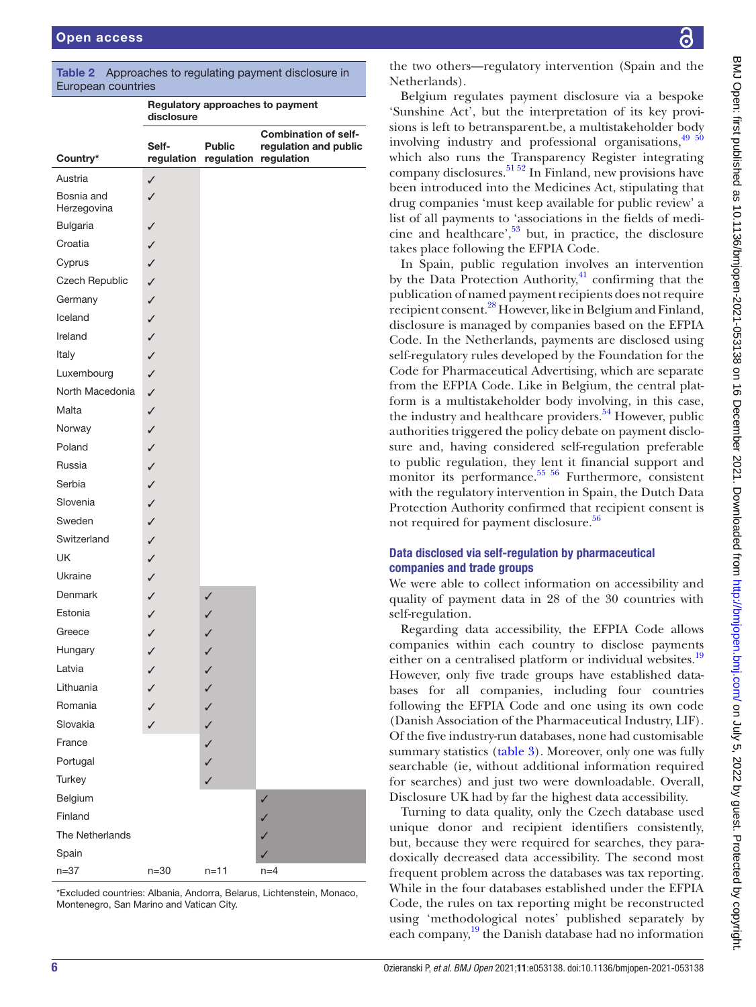| European countries        |                     |               |                                                                               |
|---------------------------|---------------------|---------------|-------------------------------------------------------------------------------|
|                           | disclosure          |               | Regulatory approaches to payment                                              |
| Country*                  | Self-<br>regulation | <b>Public</b> | <b>Combination of self-</b><br>regulation and public<br>regulation regulation |
| Austria                   | ✓                   |               |                                                                               |
| Bosnia and<br>Herzegovina | ✓                   |               |                                                                               |
| <b>Bulgaria</b>           | ✓                   |               |                                                                               |
| Croatia                   | $\checkmark$        |               |                                                                               |
| Cyprus                    | $\checkmark$        |               |                                                                               |
| Czech Republic            | $\checkmark$        |               |                                                                               |
| Germany                   | $\checkmark$        |               |                                                                               |
| Iceland                   | $\checkmark$        |               |                                                                               |
| Ireland                   | $\checkmark$        |               |                                                                               |
| Italy                     | $\checkmark$        |               |                                                                               |
| Luxembourg                | $\checkmark$        |               |                                                                               |
| North Macedonia           | $\checkmark$        |               |                                                                               |
| Malta                     | $\checkmark$        |               |                                                                               |
| Norway                    | $\checkmark$        |               |                                                                               |
| Poland                    | $\checkmark$        |               |                                                                               |
| Russia                    | $\checkmark$        |               |                                                                               |
| Serbia                    | $\checkmark$        |               |                                                                               |
| Slovenia                  | $\checkmark$        |               |                                                                               |
| Sweden                    | $\checkmark$        |               |                                                                               |
| Switzerland               | $\checkmark$        |               |                                                                               |
| <b>UK</b>                 | $\checkmark$        |               |                                                                               |
| Ukraine                   | $\checkmark$        |               |                                                                               |
| Denmark                   | $\checkmark$        | $\checkmark$  |                                                                               |
| Estonia                   | ✓                   | ✓             |                                                                               |
| Greece                    | J                   |               |                                                                               |
| Hungary                   | ✓                   | ✓             |                                                                               |
| Latvia                    | ✓                   | ✓             |                                                                               |
| Lithuania                 | $\checkmark$        | ✓             |                                                                               |
| Romania                   | $\checkmark$        | $\checkmark$  |                                                                               |
| Slovakia                  | ✓                   | ✓             |                                                                               |
| France                    |                     | ✓             |                                                                               |
| Portugal                  |                     | ✓             |                                                                               |
| Turkey                    |                     | ✓             |                                                                               |
| Belgium                   |                     |               | √                                                                             |
| Finland                   |                     |               | ✓                                                                             |
| The Netherlands           |                     |               | ✓                                                                             |
| Spain                     |                     |               | ✓                                                                             |
| $n = 37$                  | $n=30$              | $n = 11$      | $n=4$                                                                         |

<span id="page-5-0"></span>Table 2 Approaches to regulating payment disclosure in European countries

\*Excluded countries: Albania, Andorra, Belarus, Lichtenstein, Monaco, Montenegro, San Marino and Vatican City.

the two others—regulatory intervention (Spain and the Netherlands).

Belgium regulates payment disclosure via a bespoke 'Sunshine Act', but the interpretation of its key provisions is left to betransparent.be, a multistakeholder body involving industry and professional organisations,  $49\frac{50}{60}$ which also runs the Transparency Register integrating company disclosures.<sup>[51 52](#page-15-3)</sup> In Finland, new provisions have been introduced into the Medicines Act, stipulating that drug companies 'must keep available for public review' a list of all payments to 'associations in the fields of medicine and healthcare', $53$  but, in practice, the disclosure takes place following the EFPIA Code.

In Spain, public regulation involves an intervention by the Data Protection Authority, $^{41}$  confirming that the publication of named payment recipients does not require recipient consent.<sup>28</sup> However, like in Belgium and Finland, disclosure is managed by companies based on the EFPIA Code. In the Netherlands, payments are disclosed using self-regulatory rules developed by the Foundation for the Code for Pharmaceutical Advertising, which are separate from the EFPIA Code. Like in Belgium, the central platform is a multistakeholder body involving, in this case, the industry and healthcare providers.<sup>[54](#page-15-5)</sup> However, public authorities triggered the policy debate on payment disclosure and, having considered self-regulation preferable to public regulation, they lent it financial support and monitor its performance.<sup>55</sup> 56</sup> Furthermore, consistent with the regulatory intervention in Spain, the Dutch Data Protection Authority confirmed that recipient consent is not required for payment disclosure.<sup>[56](#page-15-7)</sup>

# Data disclosed via self-regulation by pharmaceutical companies and trade groups

We were able to collect information on accessibility and quality of payment data in 28 of the 30 countries with self-regulation.

Regarding data accessibility, the EFPIA Code allows companies within each country to disclose payments either on a centralised platform or individual websites.<sup>[19](#page-14-9)</sup> However, only five trade groups have established databases for all companies, including four countries following the EFPIA Code and one using its own code (Danish Association of the Pharmaceutical Industry, LIF). Of the five industry-run databases, none had customisable summary statistics ([table](#page-6-0) 3). Moreover, only one was fully searchable (ie, without additional information required for searches) and just two were downloadable. Overall, Disclosure UK had by far the highest data accessibility.

Turning to data quality, only the Czech database used unique donor and recipient identifiers consistently, but, because they were required for searches, they paradoxically decreased data accessibility. The second most frequent problem across the databases was tax reporting. While in the four databases established under the EFPIA Code, the rules on tax reporting might be reconstructed using 'methodological notes' published separately by each company,<sup>19</sup> the Danish database had no information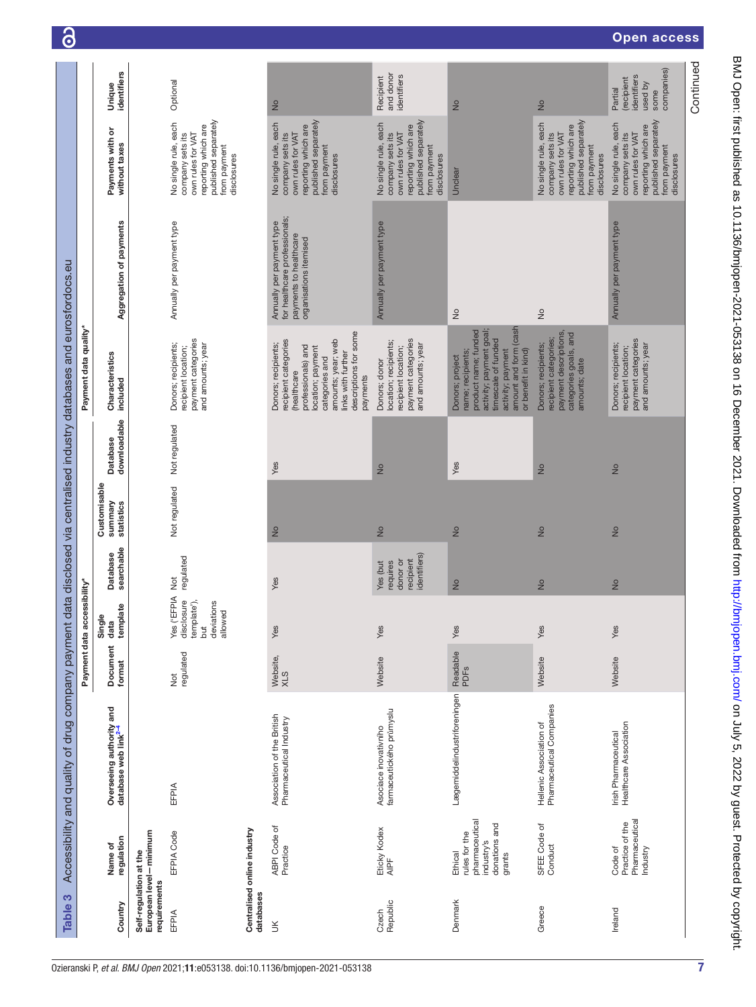| $\mathbf{\Theta}$                                                                                                       |                             |                                                              |                                        |                                                                                                                                             |                             |                                                                                                                                                                                                                |                                                                                                                                             |                                                                                                                                                                                     |                                                                                                                                             | open access                                                                                                                                 |           |
|-------------------------------------------------------------------------------------------------------------------------|-----------------------------|--------------------------------------------------------------|----------------------------------------|---------------------------------------------------------------------------------------------------------------------------------------------|-----------------------------|----------------------------------------------------------------------------------------------------------------------------------------------------------------------------------------------------------------|---------------------------------------------------------------------------------------------------------------------------------------------|-------------------------------------------------------------------------------------------------------------------------------------------------------------------------------------|---------------------------------------------------------------------------------------------------------------------------------------------|---------------------------------------------------------------------------------------------------------------------------------------------|-----------|
|                                                                                                                         |                             | identifiers<br>Unique                                        |                                        | Optional                                                                                                                                    |                             | $\frac{1}{2}$                                                                                                                                                                                                  | and donor<br>identifiers<br>Recipient                                                                                                       | $\frac{1}{2}$                                                                                                                                                                       | $\frac{1}{2}$                                                                                                                               | companies)<br>identifiers<br>(recipient<br>used by<br>Partial<br>some                                                                       | Continued |
|                                                                                                                         |                             | Payments with or<br>without taxes                            |                                        | published separately<br>No single rule, each<br>reporting which are<br>own rules for VAT<br>company sets its<br>from payment<br>disclosures |                             | published separately<br>No single rule, each<br>reporting which are<br>own rules for VAT<br>company sets its<br>from payment<br>disclosures                                                                    | published separately<br>No single rule, each<br>reporting which are<br>own rules for VAT<br>company sets its<br>from payment<br>disclosures | Unclear                                                                                                                                                                             | published separately<br>No single rule, each<br>reporting which are<br>own rules for VAT<br>company sets its<br>from payment<br>disclosures | published separately<br>No single rule, each<br>reporting which are<br>own rules for VAT<br>company sets its<br>from payment<br>disclosures |           |
|                                                                                                                         |                             | Aggregation of payments                                      |                                        | Annually per payment type                                                                                                                   |                             | for healthcare professionals;<br>Annually per payment type<br>payments to healthcare<br>organisations itemised                                                                                                 | Annually per payment type                                                                                                                   | $\frac{1}{2}$                                                                                                                                                                       | $\frac{1}{2}$                                                                                                                               | Annually per payment type                                                                                                                   |           |
|                                                                                                                         | Payment data quality*       | Characteristics<br>included                                  |                                        | payment categories<br>Donors; recipients;<br>and amounts; year<br>recipient location;                                                       |                             | descriptions for some<br>amounts; year; web<br>recipient categories<br>Donors; recipients;<br>professionals) and<br>location; payment<br>links with further<br>categories and<br><b>healthcare</b><br>payments | payment categories<br>location; recipients;<br>and amounts; year<br>recipient location;<br>Donors; donor                                    | amount and form (cash<br>activity; payment goal;<br>product name; funded<br>timescale of funded<br>or benefit in kind)<br>name; recipients;<br>activity; payment<br>Donors; project | payment descriptions,<br>categories goals, and<br>recipient categories;<br>Donors; recipients;<br>amounts; date                             | payment categories<br>Donors; recipients;<br>and amounts; year<br>recipient location;                                                       |           |
|                                                                                                                         |                             | downloadable<br>Database                                     |                                        | Not regulated                                                                                                                               |                             | Yes                                                                                                                                                                                                            | $\frac{1}{2}$                                                                                                                               | Yes                                                                                                                                                                                 | $\frac{1}{2}$                                                                                                                               | $\frac{1}{2}$                                                                                                                               |           |
|                                                                                                                         |                             | Customisable<br>Summary<br>statistics                        |                                        | Not regulated                                                                                                                               |                             | $\frac{1}{2}$                                                                                                                                                                                                  | $\frac{1}{2}$                                                                                                                               | $\frac{1}{2}$                                                                                                                                                                       | $\frac{1}{2}$                                                                                                                               | $\frac{1}{2}$                                                                                                                               |           |
|                                                                                                                         |                             | searchable<br>Database                                       |                                        | regulated<br><b>Not</b>                                                                                                                     |                             | Yes                                                                                                                                                                                                            | identifiers)<br>donor or<br>recipient<br>Yes (but<br>requires                                                                               | $\frac{1}{2}$                                                                                                                                                                       | $\frac{1}{2}$                                                                                                                               | $\frac{1}{2}$                                                                                                                               |           |
|                                                                                                                         | Payment data accessibility* | template<br>Single<br>data                                   |                                        | YISE ('EFPIA<br>template'),<br>disclosure<br>deviations<br>allowed<br>but                                                                   |                             | Yes                                                                                                                                                                                                            | Yes                                                                                                                                         | Yes                                                                                                                                                                                 | Yes                                                                                                                                         | Yes                                                                                                                                         |           |
|                                                                                                                         |                             | Document<br>format                                           |                                        | regulated<br>$\frac{1}{2}$                                                                                                                  |                             | Website,<br>XLS                                                                                                                                                                                                | Website                                                                                                                                     | Readable<br>PDFs                                                                                                                                                                    | Website                                                                                                                                     | Website                                                                                                                                     |           |
| Accessibility and quality of drug company payment data disclosed via centralised industry databases and eurosfordocs.eu |                             | Overseeing authority and<br>database web link <sup>2-4</sup> |                                        | EFPIA                                                                                                                                       |                             | Association of the British<br>Pharmaceutical Industry                                                                                                                                                          | farmaceutického průmyslu<br>Asociace inovativního                                                                                           | Lægemiddelindustriforeningen                                                                                                                                                        | Pharmaceutical Companies<br>Hellenic Association of                                                                                         | Irish Pharmaceutical<br>Healthcare Association                                                                                              |           |
|                                                                                                                         |                             | regulation<br>Name of                                        | European level-minimum                 | EFPIA Code                                                                                                                                  | Centralised online industry | <b>ABPI Code of</b><br>Practice                                                                                                                                                                                | Eticky Kodex<br>AIPF                                                                                                                        | pharmaceutical<br>donations and<br>rules for the<br>industry's<br>Ethical<br>grants                                                                                                 | SFEE Code of<br>Conduct                                                                                                                     | Pharmaceutical<br>Practice of the<br>Code of<br>Industry                                                                                    |           |
| S<br>Table                                                                                                              |                             | Country                                                      | Self-regulation at the<br>requirements | EFPIA                                                                                                                                       | databases                   | š                                                                                                                                                                                                              | Republic<br>Czech                                                                                                                           | Denmark                                                                                                                                                                             | Greece                                                                                                                                      | Ireland                                                                                                                                     |           |

BMJ Open: first published as 10.1136/bmjopen-2021-053138 on 16 December 2021. Downloaded from http://bmjopen.bmj.com/ on July 5, 2022 by guest. Protected by copyright. BMJ Open: first published as 10.1136/bmjopen-2021-053138 on 16 December 2021. Downloaded from <http://bmjopen.bmj.com/> on July 5, 2022 by guest. Protected by copyright.

<span id="page-6-0"></span>7

 $O<sub>2</sub>$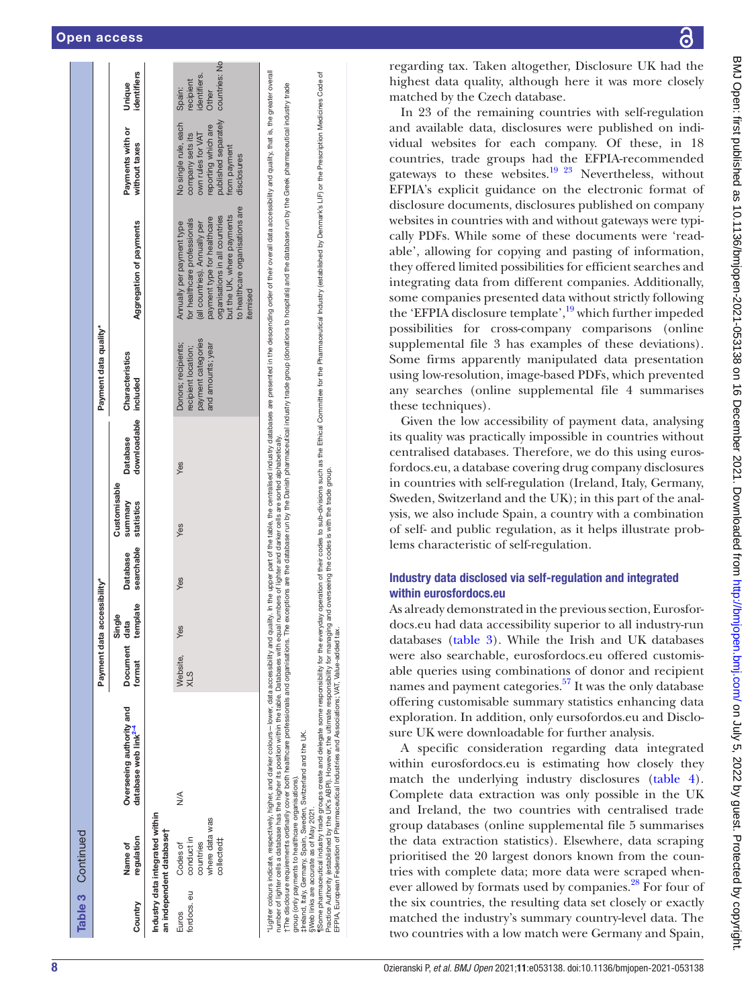|                      | <b>Table 3</b> Continued                                                                     |                                                                                                                                                                                                                                                                                                                                               |                         |                    |                               |                                       |                                 |                                                                                       |                                                                                                                                                                                                                                                                                                                                                                                                                  |                                                                                                                                             |                                                                      |
|----------------------|----------------------------------------------------------------------------------------------|-----------------------------------------------------------------------------------------------------------------------------------------------------------------------------------------------------------------------------------------------------------------------------------------------------------------------------------------------|-------------------------|--------------------|-------------------------------|---------------------------------------|---------------------------------|---------------------------------------------------------------------------------------|------------------------------------------------------------------------------------------------------------------------------------------------------------------------------------------------------------------------------------------------------------------------------------------------------------------------------------------------------------------------------------------------------------------|---------------------------------------------------------------------------------------------------------------------------------------------|----------------------------------------------------------------------|
|                      |                                                                                              |                                                                                                                                                                                                                                                                                                                                               | Payment data            | accessibility*     |                               |                                       |                                 | Payment data quality*                                                                 |                                                                                                                                                                                                                                                                                                                                                                                                                  |                                                                                                                                             |                                                                      |
| Country              | regulation<br>Name of                                                                        | Overseeing authority and<br>database web link <sup>2-4</sup>                                                                                                                                                                                                                                                                                  | Document data<br>format | template<br>Single | searchable<br><b>Database</b> | Customisable<br>summary<br>statistics | downloadable<br><b>Database</b> | Characteristics<br>included                                                           | Aggregation of payments                                                                                                                                                                                                                                                                                                                                                                                          | Payments with or<br>without taxes                                                                                                           | identifiers<br>Unique                                                |
|                      | Industry data integrated within<br>an independent database†                                  |                                                                                                                                                                                                                                                                                                                                               |                         |                    |                               |                                       |                                 |                                                                                       |                                                                                                                                                                                                                                                                                                                                                                                                                  |                                                                                                                                             |                                                                      |
| fordocs. eu<br>Euros | where data was<br>conduct in<br>collected‡<br>countries<br>Codes of                          | $\frac{8}{2}$                                                                                                                                                                                                                                                                                                                                 | Website,<br>XLS         | Yes                | Yes                           | Yes                                   | Yes                             | payment categories<br>Donors; recipients;<br>and amounts; year<br>recipient location; | to healthcare organisations are<br>but the UK, where payments<br>organisations in all countries<br>payment type for healthcare<br>for healthcare professionals<br>Annually per payment type<br>(all countries). Annually per<br>itemised                                                                                                                                                                         | published separately<br>No single rule, each<br>reporting which are<br>company sets its<br>own rules for VAT<br>from payment<br>disclosures | countries: No<br>identifiers.<br>recipient<br>Spain:<br><b>Other</b> |
|                      | group (only payments to healthcare organisations).<br>SWeb links are accurate as of May 2021 | number of lighter cells a database has the higher its position within the table. Databases with equal numbers of lighter and darker cells are sorted alphabetically.<br>t The disclosure requirements ordinarily cover both healthcare professionals and organisations. T<br>#Ireland, Italy, Germany, Spain, Sweden, Switzerland and the UK. |                         |                    |                               |                                       |                                 |                                                                                       | llighter colours indively, higher, and darker colours-lower, data accessibility and quality, in the upper part of the table, the adaptaged industry databases are presented in the descending order of their overall data acce<br>The exceptions are the database run by the Danish pharmaceutical industry trade group (donations to hospitals) and the database run by the Greek pharmaceutical industry trade |                                                                                                                                             |                                                                      |

Some pharmaceutistry frade groups create and delegate some responsibility for the everyday operation of their codes to sub-divisions such as the Ethical Committee for the Pharmaceutical Industriv (established by Dennark's

sweb links are accuratie as of May 2021.<br>¶Some pharmaceutical industry trade groups create and delegate some responshilly for the word'ay operation of their codes to sub-divisions such as the Ethical Committee for the Phar

Practice Authority (established by the UK's ABPI). However, the ultimate responsibility for managing and overseeing the codes is with the trade group.

EFPIA, European Federation of Pharmaceutical Industries and Associations; VAT, Value-added tax.

ခြ

BMJ Open: first published as 10.1136/bmijopen-2021-053138 on 16 December 2021. Downloaded from http://bmjopen.bmj.com/ on July 5, 2022 by guest. Protected by copyright BMJ Open: first published as 10.1136/bmjopen-2021-053138 on 16 December 2021. Downloaded from <http://bmjopen.bmj.com/> on July 5, 2022 by guest. Protected by copyright.

regarding tax. Taken altogether, Disclosure UK had the highest data quality, although here it was more closely matched by the Czech database.

In 23 of the remaining countries with self-regulation and available data, disclosures were published on indi vidual websites for each company. Of these, in 18 countries, trade groups had the EFPIA-recommended gateways to these websites.<sup>19 23</sup> Nevertheless, without EFPIA's explicit guidance on the electronic format of disclosure documents, disclosures published on company websites in countries with and without gateways were typi cally PDFs. While some of these documents were 'read able', allowing for copying and pasting of information, they offered limited possibilities for efficient searches and integrating data from different companies. Additionally, some companies presented data without strictly following the 'EFPIA disclosure template',<sup>19</sup> which further impeded possibilities for cross-company comparisons ([online](https://dx.doi.org/10.1136/bmjopen-2021-053138)  [supplemental file 3](https://dx.doi.org/10.1136/bmjopen-2021-053138) has examples of these deviations). Some firms apparently manipulated data presentation using low-resolution, image-based PDFs, which prevented any searches ([online supplemental file 4](https://dx.doi.org/10.1136/bmjopen-2021-053138) summarises these techniques).

Given the low accessibility of payment data, analysing its quality was practically impossible in countries without centralised databases. Therefore, we do this using euros fordocs.eu, a database covering drug company disclosures in countries with self-regulation (Ireland, Italy, Germany, Sweden, Switzerland and the UK); in this part of the anal ysis, we also include Spain, a country with a combination of self- and public regulation, as it helps illustrate prob lems characteristic of self-regulation.

# Industry data disclosed via self-regulation and integrated within eurosfordocs.eu

As already demonstrated in the previous section, Eurosfordocs.eu had data accessibility superior to all industry-run databases [\(table](#page-6-0) 3). While the Irish and UK databases were also searchable, eurosfordocs.eu offered customis able queries using combinations of donor and recipient names and payment categories.<sup>57</sup> It was the only database offering customisable summary statistics enhancing data exploration. In addition, only eursofordos.eu and Disclo sure UK were downloadable for further analysis.

A specific consideration regarding data integrated within eurosfordocs.eu is estimating how closely they match the underlying industry disclosures ([table](#page-8-0) 4). Complete data extraction was only possible in the UK and Ireland, the two countries with centralised trade group databases [\(online supplemental file 5](https://dx.doi.org/10.1136/bmjopen-2021-053138) summarises the data extraction statistics). Elsewhere, data scraping prioritised the 20 largest donors known from the coun tries with complete data; more data were scraped when ever allowed by formats used by companies.<sup>28</sup> For four of the six countries, the resulting data set closely or exactly matched the industry's summary country-level data. The two countries with a low match were Germany and Spain,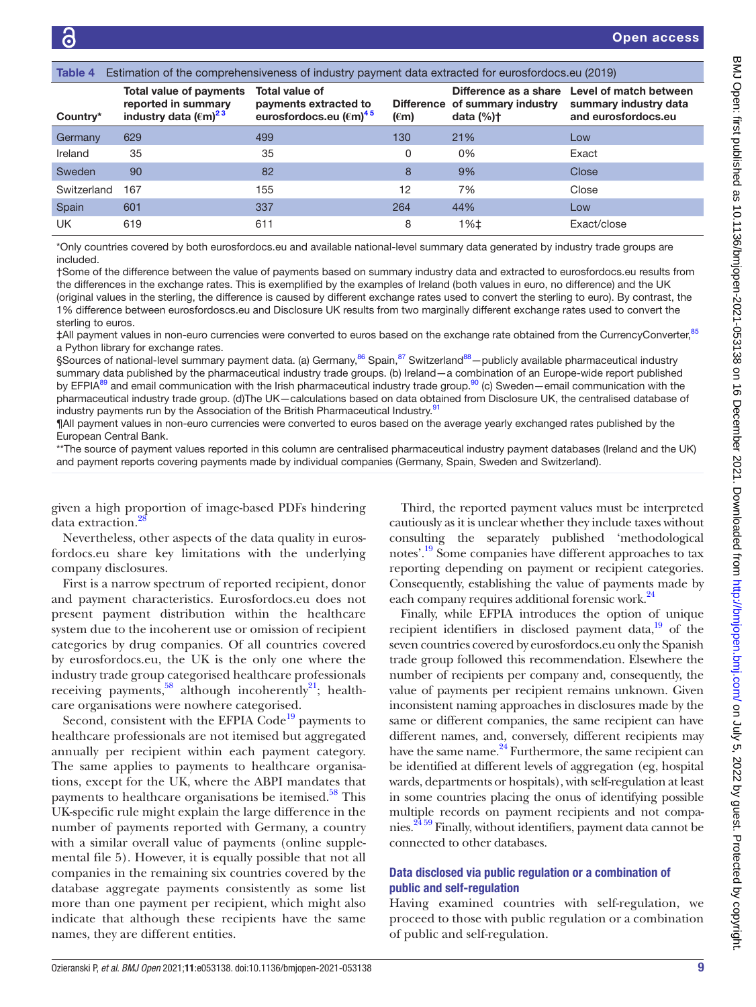<span id="page-8-0"></span>

| Table 4     |                                                                                     | Estimation of the comprehensiveness of industry payment data extracted for eurosfordocs.eu (2019) |                |                                                                          |                                                                        |
|-------------|-------------------------------------------------------------------------------------|---------------------------------------------------------------------------------------------------|----------------|--------------------------------------------------------------------------|------------------------------------------------------------------------|
| Country*    | Total value of payments<br>reported in summary<br>industry data $(\epsilon m)^{23}$ | Total value of<br>payments extracted to<br>eurosfordocs.eu ( $\epsilon$ m) <sup>45</sup>          | $(\epsilon m)$ | Difference as a share<br>Difference of summary industry<br>data $(\%)$ † | Level of match between<br>summary industry data<br>and eurosfordocs.eu |
| Germany     | 629                                                                                 | 499                                                                                               | 130            | 21%                                                                      | Low                                                                    |
| Ireland     | 35                                                                                  | 35                                                                                                | 0              | $0\%$                                                                    | Exact                                                                  |
| Sweden      | 90                                                                                  | 82                                                                                                | 8              | 9%                                                                       | Close                                                                  |
| Switzerland | 167                                                                                 | 155                                                                                               | 12             | 7%                                                                       | Close                                                                  |
| Spain       | 601                                                                                 | 337                                                                                               | 264            | 44%                                                                      | Low                                                                    |
| <b>UK</b>   | 619                                                                                 | 611                                                                                               | 8              | $1%$ $±$                                                                 | Exact/close                                                            |

\*Only countries covered by both eurosfordocs.eu and available national-level summary data generated by industry trade groups are included.

†Some of the difference between the value of payments based on summary industry data and extracted to eurosfordocs.eu results from the differences in the exchange rates. This is exemplified by the examples of Ireland (both values in euro, no difference) and the UK (original values in the sterling, the difference is caused by different exchange rates used to convert the sterling to euro). By contrast, the 1% difference between eurosfordoscs.eu and Disclosure UK results from two marginally different exchange rates used to convert the sterling to euros.

‡All payment values in non-euro currencies were converted to euros based on the exchange rate obtained from the CurrencyConverter,<sup>[85](#page-15-10)</sup> a Python library for exchange rates.

§Sources of national-level summary payment data. (a) Germany,<sup>86</sup> Spain,<sup>87</sup> Switzerland<sup>88</sup> – publicly available pharmaceutical industry summary data published by the pharmaceutical industry trade groups. (b) Ireland—a combination of an Europe-wide report published by EFPIA<sup>89</sup> and email communication with the Irish pharmaceutical industry trade group.<sup>90</sup> (c) Sweden—email communication with the pharmaceutical industry trade group. (d)The UK—calculations based on data obtained from Disclosure UK, the centralised database of industry payments run by the Association of the British Pharmaceutical Industry.<sup>91</sup>

¶All payment values in non-euro currencies were converted to euros based on the average yearly exchanged rates published by the European Central Bank.

\*\*The source of payment values reported in this column are centralised pharmaceutical industry payment databases (Ireland and the UK) and payment reports covering payments made by individual companies (Germany, Spain, Sweden and Switzerland).

given a high proportion of image-based PDFs hindering data extraction.

Nevertheless, other aspects of the data quality in eurosfordocs.eu share key limitations with the underlying company disclosures.

First is a narrow spectrum of reported recipient, donor and payment characteristics. Eurosfordocs.eu does not present payment distribution within the healthcare system due to the incoherent use or omission of recipient categories by drug companies. Of all countries covered by eurosfordocs.eu, the UK is the only one where the industry trade group categorised healthcare professionals receiving payments,<sup>58</sup> although incoherently<sup>21</sup>; healthcare organisations were nowhere categorised.

Second, consistent with the EFPIA Code<sup>19</sup> payments to healthcare professionals are not itemised but aggregated annually per recipient within each payment category. The same applies to payments to healthcare organisations, except for the UK, where the ABPI mandates that payments to healthcare organisations be itemised.<sup>[58](#page-15-9)</sup> This UK-specific rule might explain the large difference in the number of payments reported with Germany, a country with a similar overall value of payments [\(online supple](https://dx.doi.org/10.1136/bmjopen-2021-053138)[mental file 5](https://dx.doi.org/10.1136/bmjopen-2021-053138)). However, it is equally possible that not all companies in the remaining six countries covered by the database aggregate payments consistently as some list more than one payment per recipient, which might also indicate that although these recipients have the same names, they are different entities.

Third, the reported payment values must be interpreted cautiously as it is unclear whether they include taxes without consulting the separately published 'methodological notes'.[19](#page-14-9) Some companies have different approaches to tax reporting depending on payment or recipient categories. Consequently, establishing the value of payments made by each company requires additional forensic work.<sup>[24](#page-14-33)</sup>

Finally, while EFPIA introduces the option of unique recipient identifiers in disclosed payment data, $19$  of the seven countries covered by eurosfordocs.eu only the Spanish trade group followed this recommendation. Elsewhere the number of recipients per company and, consequently, the value of payments per recipient remains unknown. Given inconsistent naming approaches in disclosures made by the same or different companies, the same recipient can have different names, and, conversely, different recipients may have the same name.<sup>24</sup> Furthermore, the same recipient can be identified at different levels of aggregation (eg, hospital wards, departments or hospitals), with self-regulation at least in some countries placing the onus of identifying possible multiple records on payment recipients and not companies[.24 59](#page-14-33) Finally, without identifiers, payment data cannot be connected to other databases.

### Data disclosed via public regulation or a combination of public and self-regulation

Having examined countries with self-regulation, we proceed to those with public regulation or a combination of public and self-regulation.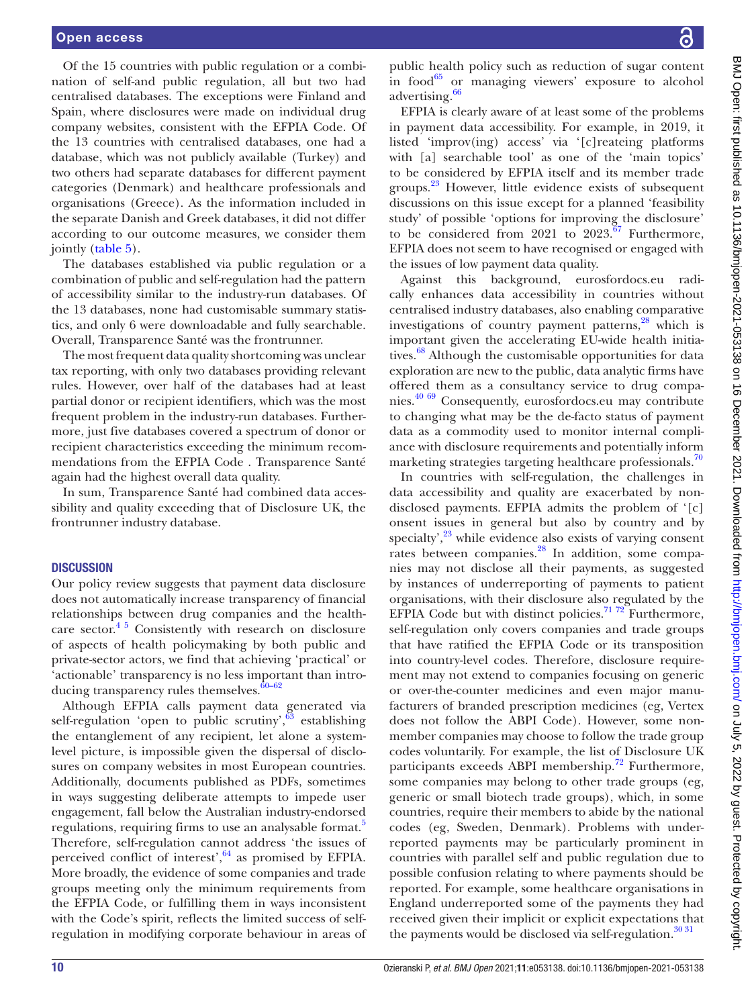Of the 15 countries with public regulation or a combination of self-and public regulation, all but two had centralised databases. The exceptions were Finland and Spain, where disclosures were made on individual drug company websites, consistent with the EFPIA Code. Of the 13 countries with centralised databases, one had a database, which was not publicly available (Turkey) and two others had separate databases for different payment categories (Denmark) and healthcare professionals and organisations (Greece). As the information included in the separate Danish and Greek databases, it did not differ according to our outcome measures, we consider them jointly ([table](#page-10-0) 5).

The databases established via public regulation or a combination of public and self-regulation had the pattern of accessibility similar to the industry-run databases. Of the 13 databases, none had customisable summary statistics, and only 6 were downloadable and fully searchable. Overall, Transparence Santé was the frontrunner.

The most frequent data quality shortcoming was unclear tax reporting, with only two databases providing relevant rules. However, over half of the databases had at least partial donor or recipient identifiers, which was the most frequent problem in the industry-run databases. Furthermore, just five databases covered a spectrum of donor or recipient characteristics exceeding the minimum recommendations from the EFPIA Code . Transparence Santé again had the highest overall data quality.

In sum, Transparence Santé had combined data accessibility and quality exceeding that of Disclosure UK, the frontrunner industry database.

#### **DISCUSSION**

Our policy review suggests that payment data disclosure does not automatically increase transparency of financial relationships between drug companies and the healthcare sector. $45$  Consistently with research on disclosure of aspects of health policymaking by both public and private-sector actors, we find that achieving 'practical' or 'actionable' transparency is no less important than introducing transparency rules themselves. $60-62$ 

Although EFPIA calls payment data generated via self-regulation 'open to public scrutiny',  $63$  establishing the entanglement of any recipient, let alone a systemlevel picture, is impossible given the dispersal of disclosures on company websites in most European countries. Additionally, documents published as PDFs, sometimes in ways suggesting deliberate attempts to impede user engagement, fall below the Australian industry-endorsed regulations, requiring firms to use an analysable format.<sup>[5](#page-14-12)</sup> Therefore, self-regulation cannot address 'the issues of perceived conflict of interest', $64$  as promised by EFPIA. More broadly, the evidence of some companies and trade groups meeting only the minimum requirements from the EFPIA Code, or fulfilling them in ways inconsistent with the Code's spirit, reflects the limited success of selfregulation in modifying corporate behaviour in areas of BMJ Open: first published as 10.1136/bmijopen-2021-053138 on 16 December 2021. Downloaded from http://bmjopen.bmj.com/ on July 5, 2022 by guest. Protected by copyright BMJ Open: first published as 10.1136/bmjopen-2021-053138 on 16 December 2021. Downloaded from <http://bmjopen.bmj.com/> on July 5, 2022 by guest. Protected by copyright.

public health policy such as reduction of sugar content in food $^{65}$  $^{65}$  $^{65}$  or managing viewers' exposure to alcohol advertising.<sup>[66](#page-15-21)</sup>

EFPIA is clearly aware of at least some of the problems in payment data accessibility. For example, in 2019, it listed 'improv(ing) access' via '[c]reateing platforms with [a] searchable tool' as one of the 'main topics' to be considered by EFPIA itself and its member trade groups.<sup>23</sup> However, little evidence exists of subsequent discussions on this issue except for a planned 'feasibility study' of possible 'options for improving the disclosure' to be considered from  $2021$  to  $2023.<sup>67</sup>$  Furthermore, EFPIA does not seem to have recognised or engaged with the issues of low payment data quality.

Against this background, eurosfordocs.eu radically enhances data accessibility in countries without centralised industry databases, also enabling comparative investigations of country payment patterns,<sup>28</sup> which is important given the accelerating EU-wide health initiatives.<sup>68</sup> Although the customisable opportunities for data exploration are new to the public, data analytic firms have offered them as a consultancy service to drug companies.[40 69](#page-14-26) Consequently, eurosfordocs.eu may contribute to changing what may be the de-facto status of payment data as a commodity used to monitor internal compliance with disclosure requirements and potentially inform marketing strategies targeting healthcare professionals.<sup>70</sup>

In countries with self-regulation, the challenges in data accessibility and quality are exacerbated by nondisclosed payments. EFPIA admits the problem of '[c] onsent issues in general but also by country and by specialty', $^{23}$  while evidence also exists of varying consent rates between companies.<sup>28</sup> In addition, some companies may not disclose all their payments, as suggested by instances of underreporting of payments to patient organisations, with their disclosure also regulated by the EFPIA Code but with distinct policies.<sup>[71 72](#page-15-25)</sup> Furthermore, self-regulation only covers companies and trade groups that have ratified the EFPIA Code or its transposition into country-level codes. Therefore, disclosure requirement may not extend to companies focusing on generic or over-the-counter medicines and even major manufacturers of branded prescription medicines (eg, Vertex does not follow the ABPI Code). However, some nonmember companies may choose to follow the trade group codes voluntarily. For example, the list of Disclosure UK participants exceeds ABPI membership.<sup>72</sup> Furthermore, some companies may belong to other trade groups (eg, generic or small biotech trade groups), which, in some countries, require their members to abide by the national codes (eg, Sweden, Denmark). Problems with underreported payments may be particularly prominent in countries with parallel self and public regulation due to possible confusion relating to where payments should be reported. For example, some healthcare organisations in England underreported some of the payments they had received given their implicit or explicit expectations that the payments would be disclosed via self-regulation. $\frac{30\,31}{20}$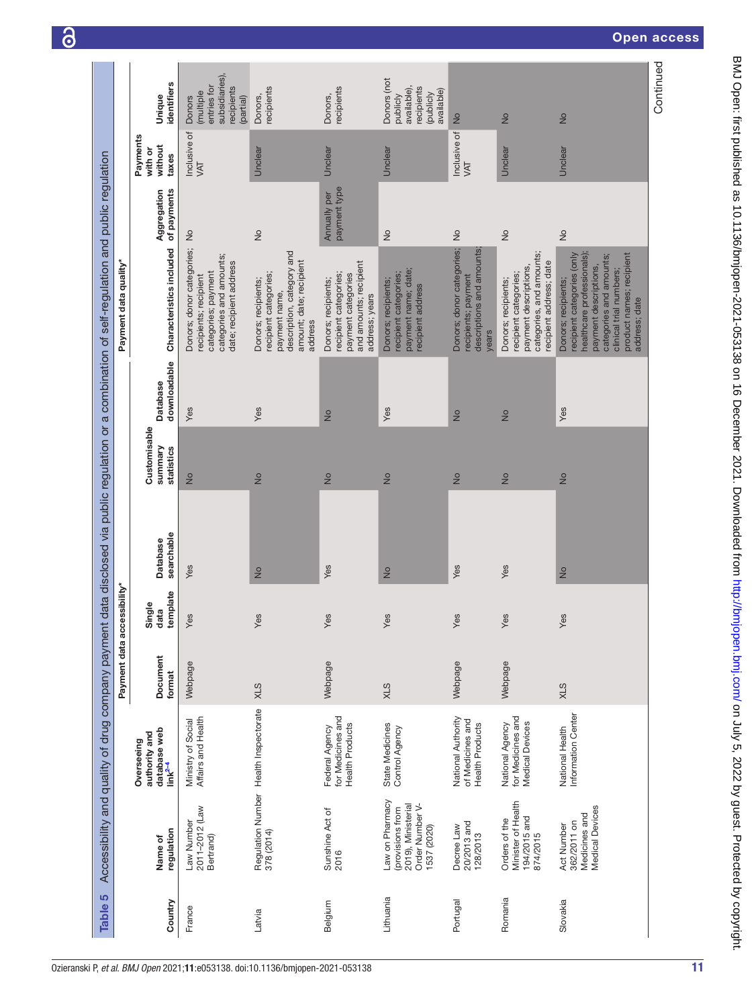<span id="page-10-0"></span>

|           |                                                                                             | Accessibility and quality of drug company payment                  | Payment data accessibility* |                            |                               |                                       |                          | data disclosed via public regulation or a combination of self-regulation and public regulation<br>Payment data quality*                                                                                     |                              |                                         |                                                                                 |
|-----------|---------------------------------------------------------------------------------------------|--------------------------------------------------------------------|-----------------------------|----------------------------|-------------------------------|---------------------------------------|--------------------------|-------------------------------------------------------------------------------------------------------------------------------------------------------------------------------------------------------------|------------------------------|-----------------------------------------|---------------------------------------------------------------------------------|
| Country   | regulation<br>Name of                                                                       | database web<br>link <sup>2-4</sup><br>authority and<br>Overseeing | Document<br>format          | template<br>Single<br>data | searchable<br><b>Database</b> | Customisable<br>summary<br>statistics | downloadable<br>Database | Characteristics included                                                                                                                                                                                    | of payments<br>Aggregation   | Payments<br>without<br>with or<br>taxes | identifiers<br>Unique                                                           |
| France    | 2011-2012 (Law<br>Law Number<br>Bertrand)                                                   | Affairs and Health<br>Ministry of Social                           | Webpage                     | Yes                        | Yes                           | $\frac{1}{2}$                         | Yes                      | Donors; donor categories;<br>categories and amounts;<br>date; recipient address<br>categories; payment<br>recipients; recipient                                                                             | $\frac{1}{2}$                | Inclusive of<br>VAT                     | subsidiaries),<br>entries for<br>recipients<br>(multiple<br>Donors<br>(partial) |
| Latvia    |                                                                                             | Regulation Number Health Inspectorate<br>378 (2014)                | SLX                         | Yes                        | $\frac{1}{2}$                 | $\frac{1}{2}$                         | Yes                      | description, category and<br>amount; date; recipient<br>recipient categories;<br>Donors; recipients;<br>payment name,<br>address                                                                            | $\frac{1}{2}$                | Unclear                                 | recipients<br>Donors,                                                           |
| Belgium   | Sunshine Act of<br>2016                                                                     | for Medicines and<br><b>Health Products</b><br>Federal Agency      | Webpage                     | Yes                        | Yes                           | $\frac{1}{2}$                         | $\frac{1}{2}$            | and amounts; recipient<br>recipient categories;<br>payment categories<br>Donors; recipients;<br>address; years                                                                                              | payment type<br>Annually per | Unclear                                 | recipients<br>Donors,                                                           |
| Lithuania | Law on Pharmacy<br>Order Number V-<br>2019), Ministerial<br>(provisions from<br>1537 (2020) | <b>State Medicines</b><br>Control Agency                           | STX                         | Yes                        | $\frac{1}{2}$                 | $\frac{1}{2}$                         | Yes                      | payment name; date;<br>recipient categories;<br>Donors; recipients;<br>recipient address                                                                                                                    | $\frac{1}{2}$                | Unclear                                 | Donors (not<br>recipients<br>available),<br>available)<br>(publicly<br>publicly |
| Portugal  | 20/2013 and<br>Decree Law<br>128/2013                                                       | National Authority<br>of Medicines and<br><b>Health Products</b>   | Webpage                     | Yes                        | Yes                           | $\frac{1}{2}$                         | $\frac{1}{2}$            | Donors; donor categories;<br>descriptions and amounts;<br>recipients; payment<br>years                                                                                                                      | $\frac{1}{2}$                | Inclusive of<br>VAT                     | $\frac{1}{2}$                                                                   |
| Romania   | Minister of Health<br>194/2015 and<br>874/2015<br>Orders of the                             | for Medicines and<br><b>Medical Devices</b><br>National Agency     | Webpage                     | Yes                        | Yes                           | $\frac{1}{2}$                         | $\frac{1}{2}$            | categories, and amounts;<br>recipient address; date<br>payment descriptions,<br>recipient categories;<br>Donors; recipients;                                                                                | $\frac{1}{2}$                | Unclear                                 | $\frac{1}{2}$                                                                   |
| Slovakia  | <b>Medical Devices</b><br>Medicines and<br>362/2011 on<br>Act Number                        | Information Center<br>National Health                              | STX                         | Yes                        | $\frac{1}{2}$                 | $\frac{1}{2}$                         | Yes                      | healthcare professionals);<br>recipient categories (only<br>categories and amounts;<br>product names; recipient<br>payment descriptions,<br>clinical trial numbers;<br>Donors; recipients;<br>address; date | $\frac{1}{2}$                | Unclear                                 | $\frac{1}{2}$                                                                   |
|           |                                                                                             |                                                                    |                             |                            |                               |                                       |                          |                                                                                                                                                                                                             |                              |                                         | Continued                                                                       |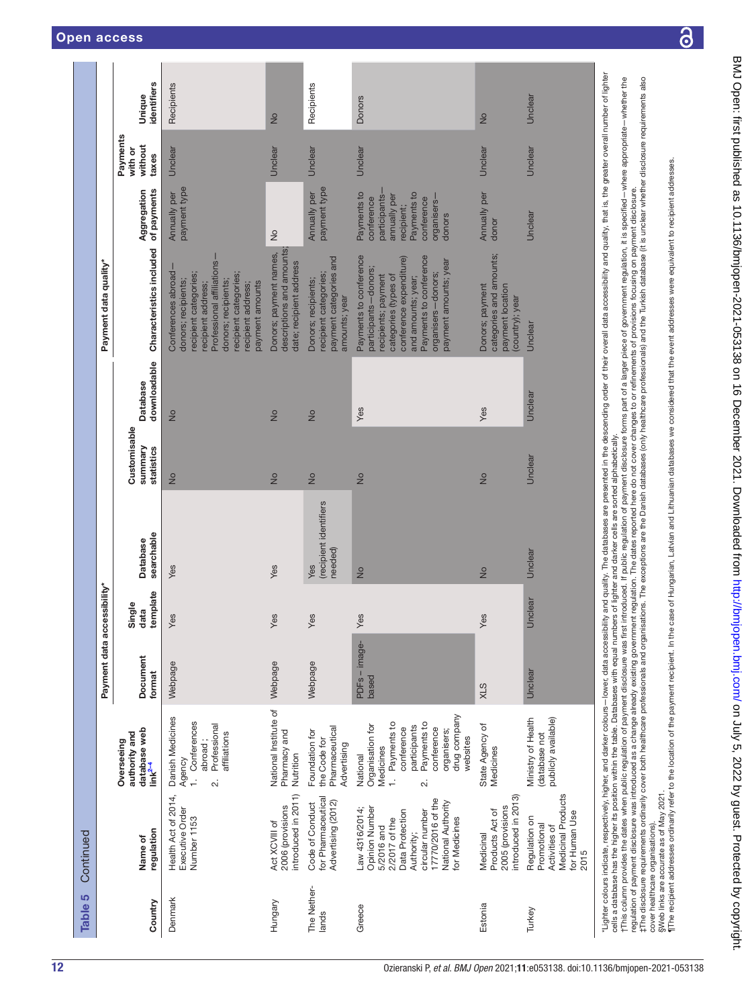| IJΟ<br><b>Table</b>  | Continued                                                                                                                                                                       |                                                                                                                                                                                 |                             |                            |                                                                                                                                                    |                                       |                                 |                                                                                                                                                                                                                                |                                                                                                                                |                                         |                       |
|----------------------|---------------------------------------------------------------------------------------------------------------------------------------------------------------------------------|---------------------------------------------------------------------------------------------------------------------------------------------------------------------------------|-----------------------------|----------------------------|----------------------------------------------------------------------------------------------------------------------------------------------------|---------------------------------------|---------------------------------|--------------------------------------------------------------------------------------------------------------------------------------------------------------------------------------------------------------------------------|--------------------------------------------------------------------------------------------------------------------------------|-----------------------------------------|-----------------------|
|                      |                                                                                                                                                                                 |                                                                                                                                                                                 | Payment data accessibility* |                            |                                                                                                                                                    |                                       |                                 | Payment data quality*                                                                                                                                                                                                          |                                                                                                                                |                                         |                       |
| Country              | regulation<br>Name of                                                                                                                                                           | database web<br>link <sup>2-4</sup><br>authority and<br>Overseeing                                                                                                              | Document<br>format          | data<br>template<br>Single | searchable<br><b>Database</b>                                                                                                                      | Customisable<br>summary<br>statistics | downloadable<br><b>Database</b> | Characteristics included                                                                                                                                                                                                       | of payments<br>Aggregation                                                                                                     | Payments<br>without<br>with or<br>taxes | identifiers<br>Unique |
| Denmark              | Health Act of 2014,<br>Executive Order<br>Number 1153                                                                                                                           | Danish Medicines<br>Conferences<br>Professional<br>affiliations<br>abroad;<br>Agency<br>$\overline{a}$<br>$\ddot{\Omega}$                                                       | Webpage                     | Yes                        | Yes                                                                                                                                                | $\frac{1}{2}$                         | $\frac{1}{2}$                   | Professional affiliations-<br>Conferences abroad<br>recipient categories;<br>recipient categories;<br>donors; recipients;<br>donors; recipients;<br>payment amounts<br>recipient address;<br>recipient address;                | payment type<br>Annually per                                                                                                   | Unclear                                 | Recipients            |
| Hungary              | introduced in 2011)<br>2006 (provisions<br>Act XCVIII of                                                                                                                        | National Institute of<br>Pharmacy and<br>Nutrition                                                                                                                              | Webpage                     | Yes                        | Yes                                                                                                                                                | $\frac{1}{2}$                         | $\frac{1}{2}$                   | descriptions and amounts;<br>Donors; payment names,<br>date; recipient address                                                                                                                                                 | $\frac{1}{2}$                                                                                                                  | Unclear                                 | $\frac{1}{2}$         |
| The Nether-<br>lands | for Pharmaceutical<br>Advertising (2012)<br>Code of Conduct                                                                                                                     | Pharmaceutical<br>Foundation for<br>the Code for<br>Advertising                                                                                                                 | Webpage                     | Yes                        | (recipient identifiers<br>needed)<br>Yes                                                                                                           | $\frac{1}{2}$                         | $\frac{1}{2}$                   | payment categories and<br>recipient categories;<br>Donors; recipients;<br>amounts; year                                                                                                                                        | payment type<br>Annually per                                                                                                   | Unclear                                 | Recipients            |
| Greece               | 17770/2016 of the<br>National Authority<br>Opinion Number<br>Law 4316/2014;<br>circular number<br>Data Protection<br>for Medicines<br>2/2017 of the<br>5/2016 and<br>Authority; | drug company<br>Payments to<br>Payments to<br>Organisation for<br>participants<br>conference<br>conference<br>organisers;<br>websites<br>Medicines<br>National<br>$\div$<br>2.i | PDFs - image-<br>based      | Yes                        | $\frac{1}{2}$                                                                                                                                      | $\frac{1}{2}$                         | Yes                             | Payments to conference<br>Payments to conference<br>conference expenditure)<br>payment amounts; year<br>participants-donors;<br>organisers-donors;<br>recipients; payment<br>categories (types of<br>and amounts; year;        | Payments to<br>Payments to<br>participants-<br>annually per<br>organisers-<br>conference<br>conference<br>recipient;<br>donors | Unclear                                 | <b>Donors</b>         |
| Estonia              | introduced in 2013)<br>2005 (provisions<br>Products Act of<br>Medicinal                                                                                                         | State Agency of<br>Medicines                                                                                                                                                    | <b>XLS</b>                  | Yes                        | $\frac{1}{2}$                                                                                                                                      | $\frac{1}{2}$                         | Yes                             | categories and amounts;<br>payment location<br>Donors; payment<br>(country); year                                                                                                                                              | Annually per<br>donor                                                                                                          | Unclear                                 | $\frac{1}{2}$         |
| Turkey               | <b>Medicinal Products</b><br>for Human Use<br>Regulation on<br>Promotional<br>Activities of<br>2015                                                                             | Ministry of Health<br>publicly available)<br>database not                                                                                                                       | Unclear                     | Unclear                    | Unclear                                                                                                                                            | Unclear                               | Unclear                         | Unclear                                                                                                                                                                                                                        | Unclear                                                                                                                        | Unclear                                 | Unclear               |
|                      |                                                                                                                                                                                 |                                                                                                                                                                                 |                             |                            | cells a database has the higher its position within the table. Databases with equal numbers of lighter and darker cells are sorted alphabetically. |                                       |                                 | "Lighter colours indicate, respectively, higher, and darker colours—lower, data accessibility and quality. The data asses are presented in the descending order of their overall data accessibility, and quality, that is, the |                                                                                                                                |                                         |                       |

this a database rias the inglier is position in the literation will be the constraint in the substract the special consident in the specified – where appropriate – whether the relation of parametris experiment is position. tThis column provides the dates when public regulation of payment disclosure as a fract the public change of payment disclosure forms part of a larger piece of government regulation, it is specified – where appropriate– wh regulation of payment disclosure was introduced as a change already existing government regulation. The dates reported here do not cover changes to or refinements of provisions focusing on payment disclosure.

I The disclosure requirements ordinarily cover both healthcare professionals and organisations. The exceptions are the Danish databases (only healthcare professionals) and the Turkish database (it is unclear whether disclo cover healthcare organisations).

§Web links are accurate as of May 2021.

¶The recipient addresses ordinarily refer to the location of the payment recipient. In the case of Hungarian, Latvian and Lithuanian databases we considered that the event addresses were equivalent to recipient addresses.

 $\overline{\partial}$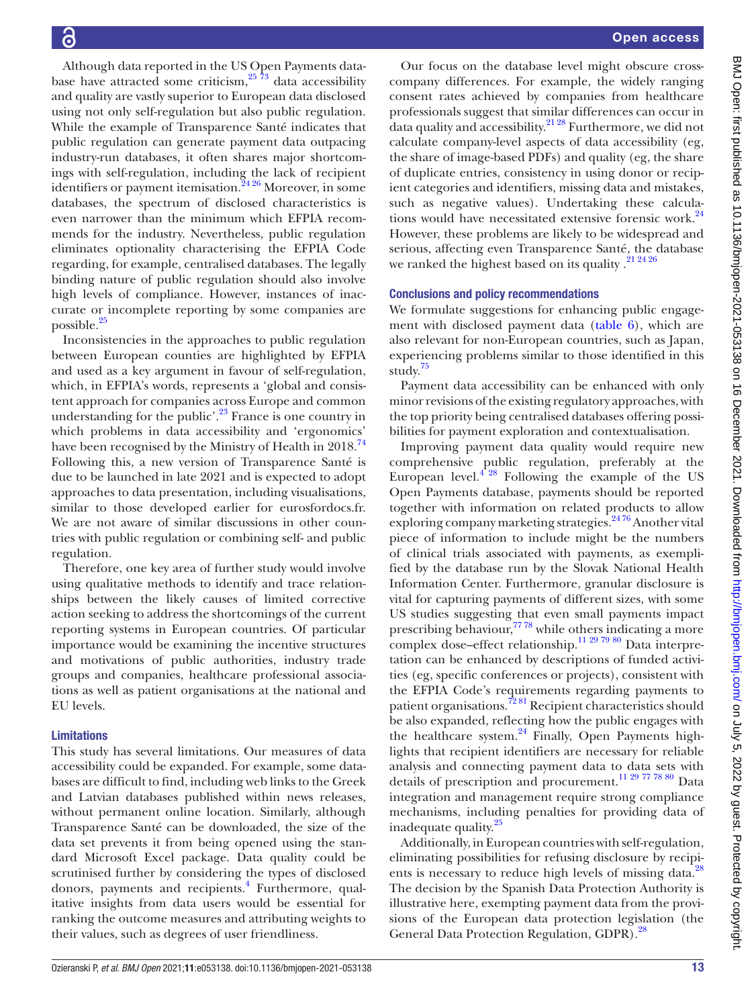Although data reported in the US Open Payments database have attracted some criticism, $25\frac{73}{7}$  data accessibility and quality are vastly superior to European data disclosed using not only self-regulation but also public regulation. While the example of Transparence Santé indicates that public regulation can generate payment data outpacing industry-run databases, it often shares major shortcomings with self-regulation, including the lack of recipient identifiers or payment itemisation.<sup>2426</sup> Moreover, in some databases, the spectrum of disclosed characteristics is even narrower than the minimum which EFPIA recommends for the industry. Nevertheless, public regulation eliminates optionality characterising the EFPIA Code regarding, for example, centralised databases. The legally binding nature of public regulation should also involve high levels of compliance. However, instances of inaccurate or incomplete reporting by some companies are possible.[25](#page-14-13)

Inconsistencies in the approaches to public regulation between European counties are highlighted by EFPIA and used as a key argument in favour of self-regulation, which, in EFPIA's words, represents a 'global and consistent approach for companies across Europe and common understanding for the public'.<sup>23</sup> France is one country in which problems in data accessibility and 'ergonomics' have been recognised by the Ministry of Health in 2018.<sup>[74](#page-15-27)</sup> Following this, a new version of Transparence Santé is due to be launched in late 2021 and is expected to adopt approaches to data presentation, including visualisations, similar to those developed earlier for eurosfordocs.fr. We are not aware of similar discussions in other countries with public regulation or combining self- and public regulation.

Therefore, one key area of further study would involve using qualitative methods to identify and trace relationships between the likely causes of limited corrective action seeking to address the shortcomings of the current reporting systems in European countries. Of particular importance would be examining the incentive structures and motivations of public authorities, industry trade groups and companies, healthcare professional associations as well as patient organisations at the national and EU levels.

### Limitations

This study has several limitations. Our measures of data accessibility could be expanded. For example, some databases are difficult to find, including web links to the Greek and Latvian databases published within news releases, without permanent online location. Similarly, although Transparence Santé can be downloaded, the size of the data set prevents it from being opened using the standard Microsoft Excel package. Data quality could be scrutinised further by considering the types of disclosed donors, payments and recipients.<sup>4</sup> Furthermore, qualitative insights from data users would be essential for ranking the outcome measures and attributing weights to their values, such as degrees of user friendliness.

Our focus on the database level might obscure crosscompany differences. For example, the widely ranging consent rates achieved by companies from healthcare professionals suggest that similar differences can occur in data quality and accessibility. $21\frac{28}{128}$  Furthermore, we did not calculate company-level aspects of data accessibility (eg, the share of image-based PDFs) and quality (eg, the share of duplicate entries, consistency in using donor or recipient categories and identifiers, missing data and mistakes, such as negative values). Undertaking these calcula-tions would have necessitated extensive forensic work.<sup>[24](#page-14-33)</sup> However, these problems are likely to be widespread and serious, affecting even Transparence Santé, the database we ranked the highest based on its quality .<sup>[21 24 26](#page-14-10)</sup>

# Conclusions and policy recommendations

We formulate suggestions for enhancing public engagement with disclosed payment data [\(table](#page-13-0) 6), which are also relevant for non-European countries, such as Japan, experiencing problems similar to those identified in this study. [75](#page-15-28)

Payment data accessibility can be enhanced with only minor revisions of the existing regulatory approaches, with the top priority being centralised databases offering possibilities for payment exploration and contextualisation.

Improving payment data quality would require new comprehensive public regulation, preferably at the European level. $4^{28}$  Following the example of the US Open Payments database, payments should be reported together with information on related products to allow exploring company marketing strategies.<sup>2476</sup> Another vital piece of information to include might be the numbers of clinical trials associated with payments, as exemplified by the database run by the Slovak National Health Information Center. Furthermore, granular disclosure is vital for capturing payments of different sizes, with some US studies suggesting that even small payments impact prescribing behaviour,<sup>77 78</sup> while others indicating a more complex dose-effect relationship.<sup>11 29 79 80</sup> Data interpretation can be enhanced by descriptions of funded activities (eg, specific conferences or projects), consistent with the EFPIA Code's requirements regarding payments to patient organisations.<sup>7281</sup> Recipient characteristics should be also expanded, reflecting how the public engages with the healthcare system. $24$  Finally, Open Payments highlights that recipient identifiers are necessary for reliable analysis and connecting payment data to data sets with details of prescription and procurement.<sup>11 29 77</sup> <sup>78 80</sup> Data integration and management require strong compliance mechanisms, including penalties for providing data of inadequate quality.<sup>[25](#page-14-13)</sup>

Additionally, in European countries with self-regulation, eliminating possibilities for refusing disclosure by recipi-ents is necessary to reduce high levels of missing data.<sup>[28](#page-14-16)</sup> The decision by the Spanish Data Protection Authority is illustrative here, exempting payment data from the provisions of the European data protection legislation (the General Data Protection Regulation, GDPR).<sup>[28](#page-14-16)</sup>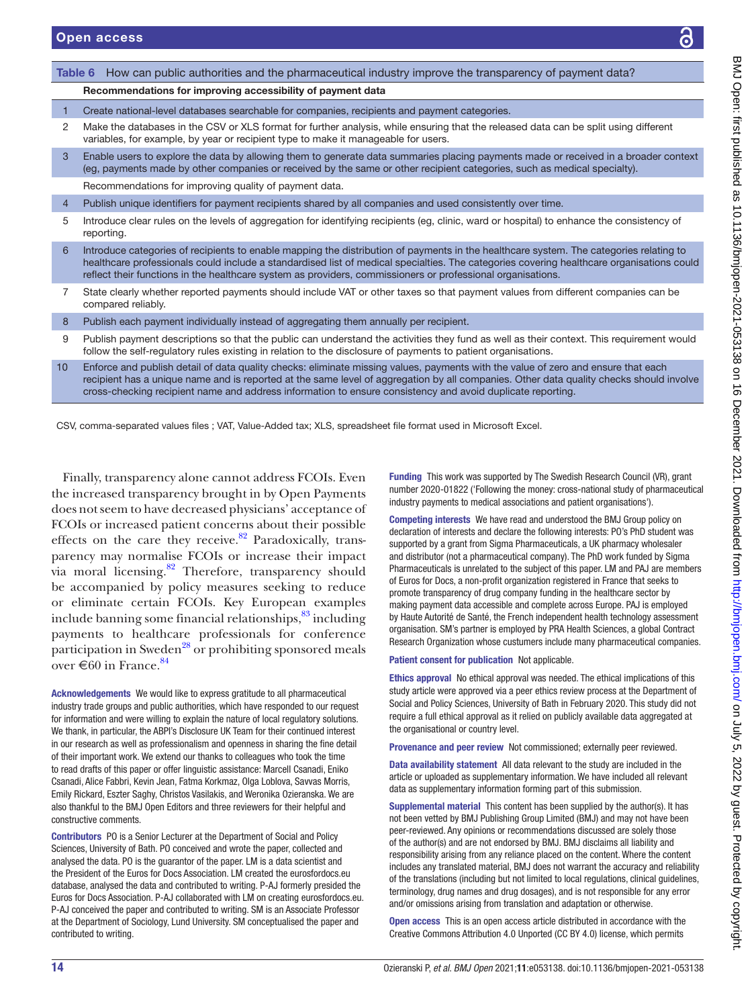<span id="page-13-0"></span>

| Table 6 | How can public authorities and the pharmaceutical industry improve the transparency of payment data?                                                                                                                                                                                                                                                                                               |
|---------|----------------------------------------------------------------------------------------------------------------------------------------------------------------------------------------------------------------------------------------------------------------------------------------------------------------------------------------------------------------------------------------------------|
|         | Recommendations for improving accessibility of payment data                                                                                                                                                                                                                                                                                                                                        |
| 1       | Create national-level databases searchable for companies, recipients and payment categories.                                                                                                                                                                                                                                                                                                       |
| 2       | Make the databases in the CSV or XLS format for further analysis, while ensuring that the released data can be split using different<br>variables, for example, by year or recipient type to make it manageable for users.                                                                                                                                                                         |
| 3       | Enable users to explore the data by allowing them to generate data summaries placing payments made or received in a broader context<br>(eg, payments made by other companies or received by the same or other recipient categories, such as medical specialty).                                                                                                                                    |
|         | Recommendations for improving quality of payment data.                                                                                                                                                                                                                                                                                                                                             |
| 4       | Publish unique identifiers for payment recipients shared by all companies and used consistently over time.                                                                                                                                                                                                                                                                                         |
| 5       | Introduce clear rules on the levels of aggregation for identifying recipients (eg, clinic, ward or hospital) to enhance the consistency of<br>reporting.                                                                                                                                                                                                                                           |
| 6       | Introduce categories of recipients to enable mapping the distribution of payments in the healthcare system. The categories relating to<br>healthcare professionals could include a standardised list of medical specialties. The categories covering healthcare organisations could<br>reflect their functions in the healthcare system as providers, commissioners or professional organisations. |
| 7       | State clearly whether reported payments should include VAT or other taxes so that payment values from different companies can be<br>compared reliably.                                                                                                                                                                                                                                             |
| 8       | Publish each payment individually instead of aggregating them annually per recipient.                                                                                                                                                                                                                                                                                                              |
| 9       | Publish payment descriptions so that the public can understand the activities they fund as well as their context. This requirement would<br>follow the self-regulatory rules existing in relation to the disclosure of payments to patient organisations.                                                                                                                                          |
| 10      | Enforce and publish detail of data quality checks: eliminate missing values, payments with the value of zero and ensure that each<br>recipient has a unique name and is reported at the same level of aggregation by all companies. Other data quality checks should involve<br>cross-checking recipient name and address information to ensure consistency and avoid duplicate reporting.         |

CSV, comma-separated values files ; VAT, Value-Added tax; XLS, spreadsheet file format used in Microsoft Excel.

Finally, transparency alone cannot address FCOIs. Even the increased transparency brought in by Open Payments does not seem to have decreased physicians' acceptance of FCOIs or increased patient concerns about their possible effects on the care they receive. $82$  Paradoxically, transparency may normalise FCOIs or increase their impact via moral licensing.<sup>82</sup> Therefore, transparency should be accompanied by policy measures seeking to reduce or eliminate certain FCOIs. Key European examples include banning some financial relationships, $83$  including payments to healthcare professionals for conference participation in Sweden<sup>[28](#page-14-16)</sup> or prohibiting sponsored meals over  $\in 60$  in France.<sup>84</sup>

Acknowledgements We would like to express gratitude to all pharmaceutical industry trade groups and public authorities, which have responded to our request for information and were willing to explain the nature of local regulatory solutions. We thank, in particular, the ABPI's Disclosure UK Team for their continued interest in our research as well as professionalism and openness in sharing the fine detail of their important work. We extend our thanks to colleagues who took the time to read drafts of this paper or offer linguistic assistance: Marcell Csanadi, Eniko Csanadi, Alice Fabbri, Kevin Jean, Fatma Korkmaz, Olga Loblova, Savvas Morris, Emily Rickard, Eszter Saghy, Christos Vasilakis, and Weronika Ozieranska. We are also thankful to the BMJ Open Editors and three reviewers for their helpful and constructive comments.

Contributors PO is a Senior Lecturer at the Department of Social and Policy Sciences, University of Bath. PO conceived and wrote the paper, collected and analysed the data. PO is the guarantor of the paper. LM is a data scientist and the President of the Euros for Docs Association. LM created the eurosfordocs.eu database, analysed the data and contributed to writing. P-AJ formerly presided the Euros for Docs Association. P-AJ collaborated with LM on creating eurosfordocs.eu. P-AJ conceived the paper and contributed to writing. SM is an Associate Professor at the Department of Sociology, Lund University. SM conceptualised the paper and contributed to writing.

Funding This work was supported by The Swedish Research Council (VR), grant number 2020-01822 ('Following the money: cross-national study of pharmaceutical industry payments to medical associations and patient organisations').

Competing interests We have read and understood the BMJ Group policy on declaration of interests and declare the following interests: PO's PhD student was supported by a grant from Sigma Pharmaceuticals, a UK pharmacy wholesaler and distributor (not a pharmaceutical company). The PhD work funded by Sigma Pharmaceuticals is unrelated to the subject of this paper. LM and PAJ are members of Euros for Docs, a non-profit organization registered in France that seeks to promote transparency of drug company funding in the healthcare sector by making payment data accessible and complete across Europe. PAJ is employed by Haute Autorité de Santé, the French independent health technology assessment organisation. SM's partner is employed by PRA Health Sciences, a global Contract Research Organization whose custumers include many pharmaceutical companies.

Patient consent for publication Not applicable.

Ethics approval No ethical approval was needed. The ethical implications of this study article were approved via a peer ethics review process at the Department of Social and Policy Sciences, University of Bath in February 2020. This study did not require a full ethical approval as it relied on publicly available data aggregated at the organisational or country level.

Provenance and peer review Not commissioned; externally peer reviewed.

Data availability statement All data relevant to the study are included in the article or uploaded as supplementary information. We have included all relevant data as supplementary information forming part of this submission.

Supplemental material This content has been supplied by the author(s). It has not been vetted by BMJ Publishing Group Limited (BMJ) and may not have been peer-reviewed. Any opinions or recommendations discussed are solely those of the author(s) and are not endorsed by BMJ. BMJ disclaims all liability and responsibility arising from any reliance placed on the content. Where the content includes any translated material, BMJ does not warrant the accuracy and reliability of the translations (including but not limited to local regulations, clinical guidelines, terminology, drug names and drug dosages), and is not responsible for any error and/or omissions arising from translation and adaptation or otherwise.

Open access This is an open access article distributed in accordance with the Creative Commons Attribution 4.0 Unported (CC BY 4.0) license, which permits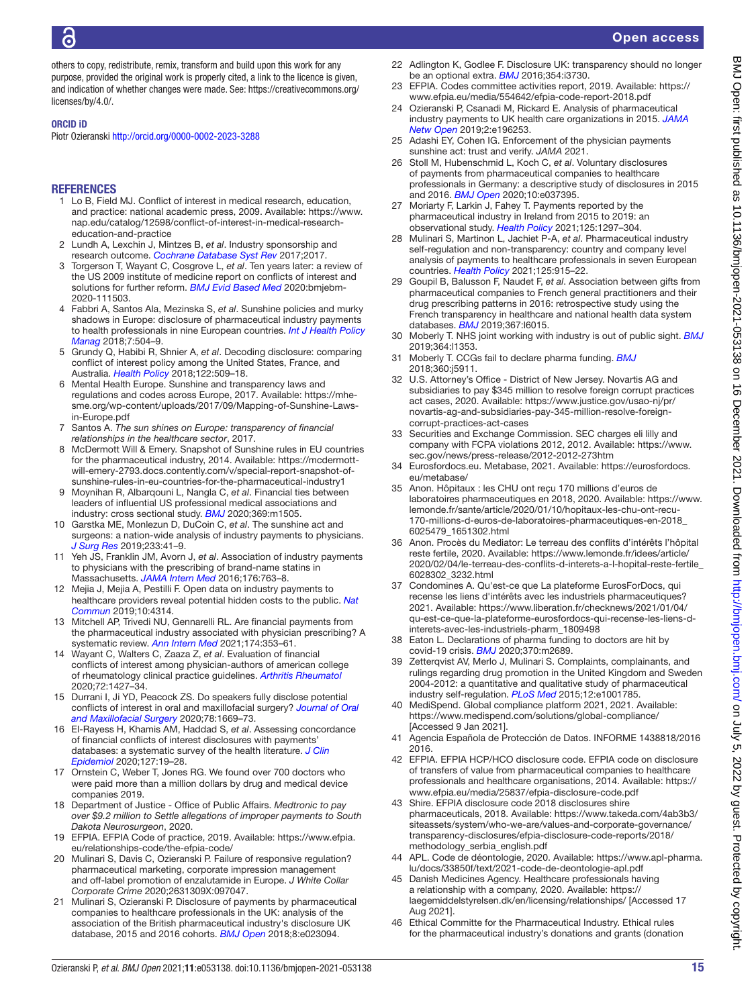others to copy, redistribute, remix, transform and build upon this work for any purpose, provided the original work is properly cited, a link to the licence is given, and indication of whether changes were made. See: [https://creativecommons.org/](https://creativecommons.org/licenses/by/4.0/) [licenses/by/4.0/.](https://creativecommons.org/licenses/by/4.0/)

#### ORCID iD

Piotr Ozieranski <http://orcid.org/0000-0002-2023-3288>

### **REFERENCES**

- <span id="page-14-0"></span>1 Lo B, Field MJ. Conflict of interest in medical research, education, and practice: national academic press, 2009. Available: [https://www.](https://www.nap.edu/catalog/12598/conflict-of-interest-in-medical-research-education-and-practice) [nap.edu/catalog/12598/conflict-of-interest-in-medical-research](https://www.nap.edu/catalog/12598/conflict-of-interest-in-medical-research-education-and-practice)[education-and-practice](https://www.nap.edu/catalog/12598/conflict-of-interest-in-medical-research-education-and-practice)
- <span id="page-14-32"></span>2 Lundh A, Lexchin J, Mintzes B, *et al*. Industry sponsorship and research outcome. *[Cochrane Database Syst Rev](http://dx.doi.org/10.1002/14651858.MR000033.pub3)* 2017;2017.
- 3 Torgerson T, Wayant C, Cosgrove L, *et al*. Ten years later: a review of the US 2009 institute of medicine report on conflicts of interest and solutions for further reform. *[BMJ Evid Based Med](http://dx.doi.org/10.1136/bmjebm-2020-111503)* 2020:bmjebm-2020-111503.
- <span id="page-14-1"></span>4 Fabbri A, Santos Ala, Mezinska S, *et al*. Sunshine policies and murky shadows in Europe: disclosure of pharmaceutical industry payments to health professionals in nine European countries. *[Int J Health Policy](http://dx.doi.org/10.15171/ijhpm.2018.20)  [Manag](http://dx.doi.org/10.15171/ijhpm.2018.20)* 2018;7:504–9.
- <span id="page-14-12"></span>5 Grundy Q, Habibi R, Shnier A, *et al*. Decoding disclosure: comparing conflict of interest policy among the United States, France, and Australia. *[Health Policy](http://dx.doi.org/10.1016/j.healthpol.2018.03.015)* 2018;122:509–18.
- <span id="page-14-24"></span>6 Mental Health Europe. Sunshine and transparency laws and regulations and codes across Europe, 2017. Available: [https://mhe](https://mhe-sme.org/wp-content/uploads/2017/09/Mapping-of-Sunshine-Laws-in-Europe.pdf)[sme.org/wp-content/uploads/2017/09/Mapping-of-Sunshine-Laws](https://mhe-sme.org/wp-content/uploads/2017/09/Mapping-of-Sunshine-Laws-in-Europe.pdf)[in-Europe.pdf](https://mhe-sme.org/wp-content/uploads/2017/09/Mapping-of-Sunshine-Laws-in-Europe.pdf)
- 7 Santos A. *The sun shines on Europe: transparency of financial relationships in the healthcare sector*, 2017.
- 8 McDermott Will & Emery. Snapshot of Sunshine rules in EU countries for the pharmaceutical industry, 2014. Available: [https://mcdermott](https://mcdermott-will-emery-2793.docs.contently.com/v/special-report-snapshot-of-sunshine-rules-in-eu-countries-for-the-pharmaceutical-industry1)[will-emery-2793.docs.contently.com/v/special-report-snapshot-of](https://mcdermott-will-emery-2793.docs.contently.com/v/special-report-snapshot-of-sunshine-rules-in-eu-countries-for-the-pharmaceutical-industry1)[sunshine-rules-in-eu-countries-for-the-pharmaceutical-industry1](https://mcdermott-will-emery-2793.docs.contently.com/v/special-report-snapshot-of-sunshine-rules-in-eu-countries-for-the-pharmaceutical-industry1)
- <span id="page-14-2"></span>9 Moynihan R, Albarqouni L, Nangla C, *et al*. Financial ties between leaders of influential US professional medical associations and industry: cross sectional study. *[BMJ](http://dx.doi.org/10.1136/bmj.m1505)* 2020;369:m1505.
- 10 Garstka ME, Monlezun D, DuCoin C, *et al*. The sunshine act and surgeons: a nation-wide analysis of industry payments to physicians. *[J Surg Res](http://dx.doi.org/10.1016/j.jss.2018.07.004)* 2019;233:41–9.
- <span id="page-14-3"></span>11 Yeh JS, Franklin JM, Avorn J, *et al*. Association of industry payments to physicians with the prescribing of brand-name statins in Massachusetts. *[JAMA Intern Med](http://dx.doi.org/10.1001/jamainternmed.2016.1709)* 2016;176:763–8.
- <span id="page-14-4"></span>12 Mejia J, Mejia A, Pestilli F. Open data on industry payments to healthcare providers reveal potential hidden costs to the public. *[Nat](http://dx.doi.org/10.1038/s41467-019-12317-z)  [Commun](http://dx.doi.org/10.1038/s41467-019-12317-z)* 2019;10:4314.
- 13 Mitchell AP, Trivedi NU, Gennarelli RL. Are financial payments from the pharmaceutical industry associated with physician prescribing? A systematic review. *[Ann Intern Med](http://dx.doi.org/10.7326/M20-5665)* 2021;174:353–61.
- <span id="page-14-5"></span>14 Wayant C, Walters C, Zaaza Z, *et al*. Evaluation of financial conflicts of interest among physician-authors of american college of rheumatology clinical practice guidelines. *[Arthritis Rheumatol](http://dx.doi.org/10.1002/art.41224)* 2020;72:1427–34.
- <span id="page-14-6"></span>15 Durrani I, Ji YD, Peacock ZS. Do speakers fully disclose potential conflicts of interest in oral and maxillofacial surgery? *[Journal of Oral](http://dx.doi.org/10.1016/j.joms.2020.03.010)  [and Maxillofacial Surgery](http://dx.doi.org/10.1016/j.joms.2020.03.010)* 2020;78:1669–73.
- <span id="page-14-7"></span>16 El-Rayess H, Khamis AM, Haddad S, *et al*. Assessing concordance of financial conflicts of interest disclosures with payments' databases: a systematic survey of the health literature. *[J Clin](http://dx.doi.org/10.1016/j.jclinepi.2020.06.040)  [Epidemiol](http://dx.doi.org/10.1016/j.jclinepi.2020.06.040)* 2020;127:19–28.
- <span id="page-14-8"></span>17 Ornstein C, Weber T, Jones RG. We found over 700 doctors who were paid more than a million dollars by drug and medical device companies 2019.
- 18 Department of Justice Office of Public Affairs. *Medtronic to pay over \$9.2 million to Settle allegations of improper payments to South Dakota Neurosurgeon*, 2020.
- <span id="page-14-9"></span>19 EFPIA. EFPIA Code of practice, 2019. Available: [https://www.efpia.](https://www.efpia.eu/relationships-code/the-efpia-code/) [eu/relationships-code/the-efpia-code/](https://www.efpia.eu/relationships-code/the-efpia-code/)
- <span id="page-14-25"></span>20 Mulinari S, Davis C, Ozieranski P. Failure of responsive regulation? pharmaceutical marketing, corporate impression management and off-label promotion of enzalutamide in Europe. *J White Collar Corporate Crime* 2020;2631309X:097047.
- <span id="page-14-10"></span>21 Mulinari S, Ozieranski P. Disclosure of payments by pharmaceutical companies to healthcare professionals in the UK: analysis of the association of the British pharmaceutical industry's disclosure UK database, 2015 and 2016 cohorts. *[BMJ Open](http://dx.doi.org/10.1136/bmjopen-2018-023094)* 2018;8:e023094.
- <span id="page-14-11"></span>22 Adlington K, Godlee F. Disclosure UK: transparency should no longer be an optional extra. *[BMJ](http://dx.doi.org/10.1136/bmj.i3730)* 2016;354:i3730.
- <span id="page-14-34"></span>23 EFPIA. Codes committee activities report, 2019. Available: [https://](https://www.efpia.eu/media/554642/efpia-code-report-2018.pdf) [www.efpia.eu/media/554642/efpia-code-report-2018.pdf](https://www.efpia.eu/media/554642/efpia-code-report-2018.pdf)
- <span id="page-14-33"></span>24 Ozieranski P, Csanadi M, Rickard E. Analysis of pharmaceutical industry payments to UK health care organizations in 2015. *[JAMA](http://dx.doi.org/10.1001/jamanetworkopen.2019.6253)  [Netw Open](http://dx.doi.org/10.1001/jamanetworkopen.2019.6253)* 2019;2:e196253.
- <span id="page-14-13"></span>25 Adashi EY, Cohen IG. Enforcement of the physician payments sunshine act: trust and verify. *JAMA* 2021.
- <span id="page-14-14"></span>26 Stoll M, Hubenschmid L, Koch C, *et al*. Voluntary disclosures of payments from pharmaceutical companies to healthcare professionals in Germany: a descriptive study of disclosures in 2015 and 2016. *[BMJ Open](http://dx.doi.org/10.1136/bmjopen-2020-037395)* 2020;10:e037395.
- <span id="page-14-15"></span>27 Moriarty F, Larkin J, Fahey T. Payments reported by the pharmaceutical industry in Ireland from 2015 to 2019: an observational study. *[Health Policy](http://dx.doi.org/10.1016/j.healthpol.2021.07.016)* 2021;125:1297–304.
- <span id="page-14-16"></span>28 Mulinari S, Martinon L, Jachiet P-A, *et al*. Pharmaceutical industry self-regulation and non-transparency: country and company level analysis of payments to healthcare professionals in seven European countries. *[Health Policy](http://dx.doi.org/10.1016/j.healthpol.2021.04.015)* 2021;125:915–22.
- <span id="page-14-17"></span>29 Goupil B, Balusson F, Naudet F, *et al*. Association between gifts from pharmaceutical companies to French general practitioners and their drug prescribing patterns in 2016: retrospective study using the French transparency in healthcare and national health data system databases. *[BMJ](http://dx.doi.org/10.1136/bmj.l6015)* 2019;367:l6015.
- <span id="page-14-18"></span>30 Moberly T. NHS joint working with industry is out of public sight. *[BMJ](http://dx.doi.org/10.1136/bmj.l1353)* 2019;364:l1353.
- <span id="page-14-19"></span>31 Moberly T. CCGs fail to declare pharma funding. *[BMJ](http://dx.doi.org/10.1136/bmj.j5911)* 2018;360:j5911.
- <span id="page-14-20"></span>32 U.S. Attorney's Office - District of New Jersey. Novartis AG and subsidiaries to pay \$345 million to resolve foreign corrupt practices act cases, 2020. Available: [https://www.justice.gov/usao-nj/pr/](https://www.justice.gov/usao-nj/pr/novartis-ag-and-subsidiaries-pay-345-million-resolve-foreign-corrupt-practices-act-cases) [novartis-ag-and-subsidiaries-pay-345-million-resolve-foreign](https://www.justice.gov/usao-nj/pr/novartis-ag-and-subsidiaries-pay-345-million-resolve-foreign-corrupt-practices-act-cases)[corrupt-practices-act-cases](https://www.justice.gov/usao-nj/pr/novartis-ag-and-subsidiaries-pay-345-million-resolve-foreign-corrupt-practices-act-cases)
- <span id="page-14-21"></span>33 Securities and Exchange Commission. SEC charges eli lilly and company with FCPA violations 2012, 2012. Available: [https://www.](https://www.sec.gov/news/press-release/2012-2012-273htm) [sec.gov/news/press-release/2012-2012-273htm](https://www.sec.gov/news/press-release/2012-2012-273htm)
- 34 Eurosfordocs.eu. Metabase, 2021. Available: [https://eurosfordocs.](https://eurosfordocs.eu/metabase/) [eu/metabase/](https://eurosfordocs.eu/metabase/)
- <span id="page-14-22"></span>35 Anon. Hôpitaux : les CHU ont reçu 170 millions d'euros de laboratoires pharmaceutiques en 2018, 2020. Available: [https://www.](https://www.lemonde.fr/sante/article/2020/01/10/hopitaux-les-chu-ont-recu-170-millions-d-euros-de-laboratoires-pharmaceutiques-en-2018_6025479_1651302.html) [lemonde.fr/sante/article/2020/01/10/hopitaux-les-chu-ont-recu-](https://www.lemonde.fr/sante/article/2020/01/10/hopitaux-les-chu-ont-recu-170-millions-d-euros-de-laboratoires-pharmaceutiques-en-2018_6025479_1651302.html)[170-millions-d-euros-de-laboratoires-pharmaceutiques-en-2018\\_](https://www.lemonde.fr/sante/article/2020/01/10/hopitaux-les-chu-ont-recu-170-millions-d-euros-de-laboratoires-pharmaceutiques-en-2018_6025479_1651302.html) [6025479\\_1651302.html](https://www.lemonde.fr/sante/article/2020/01/10/hopitaux-les-chu-ont-recu-170-millions-d-euros-de-laboratoires-pharmaceutiques-en-2018_6025479_1651302.html)
- 36 Anon. Procès du Mediator: Le terreau des conflits d'intérêts l'hôpital reste fertile, 2020. Available: [https://www.lemonde.fr/idees/article/](https://www.lemonde.fr/idees/article/2020/02/04/le-terreau-des-conflits-d-interets-a-l-hopital-reste-fertile_6028302_3232.html) [2020/02/04/le-terreau-des-conflits-d-interets-a-l-hopital-reste-fertile\\_](https://www.lemonde.fr/idees/article/2020/02/04/le-terreau-des-conflits-d-interets-a-l-hopital-reste-fertile_6028302_3232.html) [6028302\\_3232.html](https://www.lemonde.fr/idees/article/2020/02/04/le-terreau-des-conflits-d-interets-a-l-hopital-reste-fertile_6028302_3232.html)
- 37 Condomines A. Qu'est-ce que La plateforme EurosForDocs, qui recense les liens d'intérêts avec les industriels pharmaceutiques? 2021. Available: [https://www.liberation.fr/checknews/2021/01/04/](https://www.liberation.fr/checknews/2021/01/04/qu-est-ce-que-la-plateforme-eurosfordocs-qui-recense-les-liens-d-interets-avec-les-industriels-pharm_1809498) [qu-est-ce-que-la-plateforme-eurosfordocs-qui-recense-les-liens-d](https://www.liberation.fr/checknews/2021/01/04/qu-est-ce-que-la-plateforme-eurosfordocs-qui-recense-les-liens-d-interets-avec-les-industriels-pharm_1809498)[interets-avec-les-industriels-pharm\\_1809498](https://www.liberation.fr/checknews/2021/01/04/qu-est-ce-que-la-plateforme-eurosfordocs-qui-recense-les-liens-d-interets-avec-les-industriels-pharm_1809498)
- <span id="page-14-23"></span>38 Eaton L. Declarations of pharma funding to doctors are hit by covid-19 crisis. *[BMJ](http://dx.doi.org/10.1136/bmj.m2689)* 2020;370:m2689.
- 39 Zetterqvist AV, Merlo J, Mulinari S. Complaints, complainants, and rulings regarding drug promotion in the United Kingdom and Sweden 2004-2012: a quantitative and qualitative study of pharmaceutical industry self-regulation. *[PLoS Med](http://dx.doi.org/10.1371/journal.pmed.1001785)* 2015;12:e1001785.
- <span id="page-14-26"></span>40 MediSpend. Global compliance platform 2021, 2021. Available: <https://www.medispend.com/solutions/global-compliance/> [Accessed 9 Jan 2021].
- <span id="page-14-27"></span>41 Agencia Española de Protección de Datos. INFORME 1438818/2016 2016.
- 42 EFPIA. EFPIA HCP/HCO disclosure code. EFPIA code on disclosure of transfers of value from pharmaceutical companies to healthcare professionals and healthcare organisations, 2014. Available: [https://](https://www.efpia.eu/media/25837/efpia-disclosure-code.pdf) [www.efpia.eu/media/25837/efpia-disclosure-code.pdf](https://www.efpia.eu/media/25837/efpia-disclosure-code.pdf)
- <span id="page-14-28"></span>43 Shire. EFPIA disclosure code 2018 disclosures shire pharmaceuticals, 2018. Available: [https://www.takeda.com/4ab3b3/](https://www.takeda.com/4ab3b3/siteassets/system/who-we-are/values-and-corporate-governance/transparency-disclosures/efpia-disclosure-code-reports/2018/methodology_serbia_english.pdf) [siteassets/system/who-we-are/values-and-corporate-governance/](https://www.takeda.com/4ab3b3/siteassets/system/who-we-are/values-and-corporate-governance/transparency-disclosures/efpia-disclosure-code-reports/2018/methodology_serbia_english.pdf) [transparency-disclosures/efpia-disclosure-code-reports/2018/](https://www.takeda.com/4ab3b3/siteassets/system/who-we-are/values-and-corporate-governance/transparency-disclosures/efpia-disclosure-code-reports/2018/methodology_serbia_english.pdf) [methodology\\_serbia\\_english.pdf](https://www.takeda.com/4ab3b3/siteassets/system/who-we-are/values-and-corporate-governance/transparency-disclosures/efpia-disclosure-code-reports/2018/methodology_serbia_english.pdf)
- <span id="page-14-29"></span>44 APL. Code de déontologie, 2020. Available: [https://www.apl-pharma.](https://www.apl-pharma.lu/docs/33850f/text/2021-code-de-deontologie-apl.pdf) [lu/docs/33850f/text/2021-code-de-deontologie-apl.pdf](https://www.apl-pharma.lu/docs/33850f/text/2021-code-de-deontologie-apl.pdf)
- <span id="page-14-30"></span>45 Danish Medicines Agency. Healthcare professionals having a relationship with a company, 2020. Available: [https://](https://laegemiddelstyrelsen.dk/en/licensing/relationships/) [laegemiddelstyrelsen.dk/en/licensing/relationships/](https://laegemiddelstyrelsen.dk/en/licensing/relationships/) [Accessed 17 Aug 2021].
- <span id="page-14-31"></span>Ethical Committe for the Pharmaceutical Industry. Ethical rules for the pharmaceutical industry's donations and grants (donation